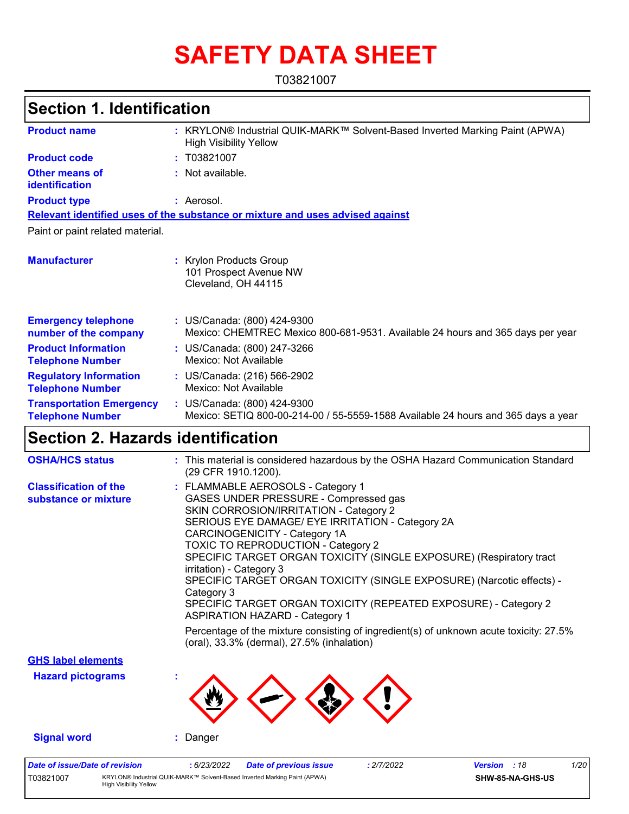# **SAFETY DATA SHEET**

T03821007

### **Section 1. Identification**

| <b>Product name</b>                                        | KRYLON® Industrial QUIK-MARK™ Solvent-Based Inverted Marking Paint (APWA)<br><b>High Visibility Yellow</b>       |
|------------------------------------------------------------|------------------------------------------------------------------------------------------------------------------|
| <b>Product code</b>                                        | : T03821007                                                                                                      |
| <b>Other means of</b><br>identification                    | : Not available.                                                                                                 |
| <b>Product type</b>                                        | : Aerosol.                                                                                                       |
|                                                            | Relevant identified uses of the substance or mixture and uses advised against                                    |
| Paint or paint related material.                           |                                                                                                                  |
| <b>Manufacturer</b>                                        | <b>Krylon Products Group</b><br>101 Prospect Avenue NW<br>Cleveland, OH 44115                                    |
| <b>Emergency telephone</b><br>number of the company        | : US/Canada: (800) 424-9300<br>Mexico: CHEMTREC Mexico 800-681-9531. Available 24 hours and 365 days per year    |
| <b>Product Information</b><br><b>Telephone Number</b>      | : US/Canada: (800) 247-3266<br>Mexico: Not Available                                                             |
| <b>Regulatory Information</b><br><b>Telephone Number</b>   | : US/Canada: (216) 566-2902<br>Mexico: Not Available                                                             |
| <b>Transportation Emergency</b><br><b>Telephone Number</b> | : US/Canada: (800) 424-9300<br>Mexico: SETIQ 800-00-214-00 / 55-5559-1588 Available 24 hours and 365 days a year |

### **Section 2. Hazards identification**

| <b>OSHA/HCS status</b>                               | : This material is considered hazardous by the OSHA Hazard Communication Standard<br>(29 CFR 1910.1200).                                                                                                                                                                                                                                                                                                                                                                                                                                                                                                                                                                                             |
|------------------------------------------------------|------------------------------------------------------------------------------------------------------------------------------------------------------------------------------------------------------------------------------------------------------------------------------------------------------------------------------------------------------------------------------------------------------------------------------------------------------------------------------------------------------------------------------------------------------------------------------------------------------------------------------------------------------------------------------------------------------|
| <b>Classification of the</b><br>substance or mixture | : FLAMMABLE AEROSOLS - Category 1<br>GASES UNDER PRESSURE - Compressed gas<br>SKIN CORROSION/IRRITATION - Category 2<br>SERIOUS EYE DAMAGE/ EYE IRRITATION - Category 2A<br>CARCINOGENICITY - Category 1A<br><b>TOXIC TO REPRODUCTION - Category 2</b><br>SPECIFIC TARGET ORGAN TOXICITY (SINGLE EXPOSURE) (Respiratory tract<br>irritation) - Category 3<br>SPECIFIC TARGET ORGAN TOXICITY (SINGLE EXPOSURE) (Narcotic effects) -<br>Category 3<br>SPECIFIC TARGET ORGAN TOXICITY (REPEATED EXPOSURE) - Category 2<br><b>ASPIRATION HAZARD - Category 1</b><br>Percentage of the mixture consisting of ingredient(s) of unknown acute toxicity: 27.5%<br>(oral), 33.3% (dermal), 27.5% (inhalation) |
| <b>GHS label elements</b>                            |                                                                                                                                                                                                                                                                                                                                                                                                                                                                                                                                                                                                                                                                                                      |
| <b>Hazard pictograms</b>                             |                                                                                                                                                                                                                                                                                                                                                                                                                                                                                                                                                                                                                                                                                                      |
| <b>Signal word</b>                                   | : Danger                                                                                                                                                                                                                                                                                                                                                                                                                                                                                                                                                                                                                                                                                             |
| <b>Date of issue/Date of revision</b>                | 1/20<br>: 6/23/2022<br><b>Date of previous issue</b><br>: 2/7/2022<br><b>Version</b> : 18                                                                                                                                                                                                                                                                                                                                                                                                                                                                                                                                                                                                            |

**SHW-85-NA-GHS-US**

T03821007 KRYLON® Industrial QUIK-MARK™ Solvent-Based Inverted Marking Paint (APWA) High Visibility Yellow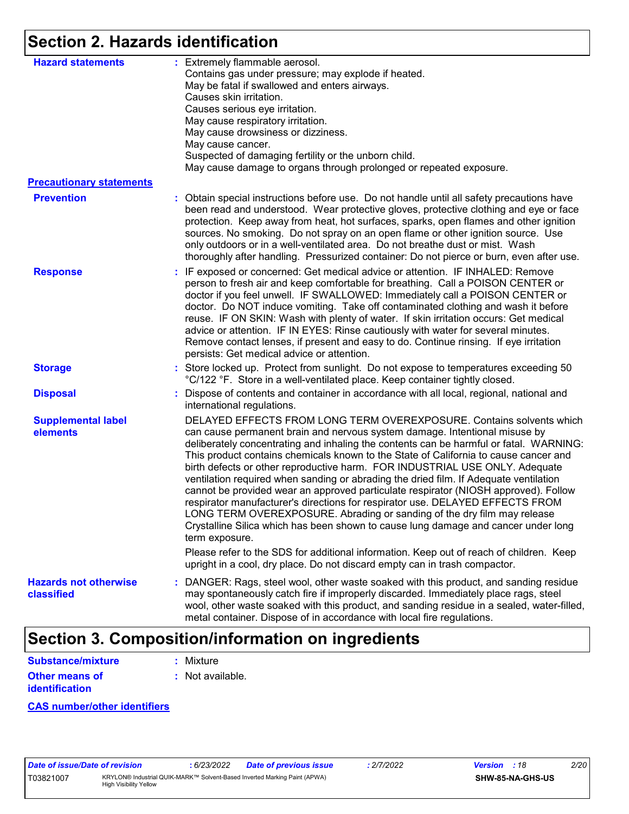# **Section 2. Hazards identification**

| <b>Hazard statements</b>                   | : Extremely flammable aerosol.<br>Contains gas under pressure; may explode if heated.<br>May be fatal if swallowed and enters airways.<br>Causes skin irritation.<br>Causes serious eye irritation.<br>May cause respiratory irritation.<br>May cause drowsiness or dizziness.<br>May cause cancer.<br>Suspected of damaging fertility or the unborn child.<br>May cause damage to organs through prolonged or repeated exposure.                                                                                                                                                                                                                                                                                                                                                                                                                                       |
|--------------------------------------------|-------------------------------------------------------------------------------------------------------------------------------------------------------------------------------------------------------------------------------------------------------------------------------------------------------------------------------------------------------------------------------------------------------------------------------------------------------------------------------------------------------------------------------------------------------------------------------------------------------------------------------------------------------------------------------------------------------------------------------------------------------------------------------------------------------------------------------------------------------------------------|
| <b>Precautionary statements</b>            |                                                                                                                                                                                                                                                                                                                                                                                                                                                                                                                                                                                                                                                                                                                                                                                                                                                                         |
| <b>Prevention</b>                          | : Obtain special instructions before use. Do not handle until all safety precautions have<br>been read and understood. Wear protective gloves, protective clothing and eye or face<br>protection. Keep away from heat, hot surfaces, sparks, open flames and other ignition<br>sources. No smoking. Do not spray on an open flame or other ignition source. Use<br>only outdoors or in a well-ventilated area. Do not breathe dust or mist. Wash<br>thoroughly after handling. Pressurized container: Do not pierce or burn, even after use.                                                                                                                                                                                                                                                                                                                            |
| <b>Response</b>                            | : IF exposed or concerned: Get medical advice or attention. IF INHALED: Remove<br>person to fresh air and keep comfortable for breathing. Call a POISON CENTER or<br>doctor if you feel unwell. IF SWALLOWED: Immediately call a POISON CENTER or<br>doctor. Do NOT induce vomiting. Take off contaminated clothing and wash it before<br>reuse. IF ON SKIN: Wash with plenty of water. If skin irritation occurs: Get medical<br>advice or attention. IF IN EYES: Rinse cautiously with water for several minutes.<br>Remove contact lenses, if present and easy to do. Continue rinsing. If eye irritation<br>persists: Get medical advice or attention.                                                                                                                                                                                                              |
| <b>Storage</b>                             | : Store locked up. Protect from sunlight. Do not expose to temperatures exceeding 50<br>°C/122 °F. Store in a well-ventilated place. Keep container tightly closed.                                                                                                                                                                                                                                                                                                                                                                                                                                                                                                                                                                                                                                                                                                     |
| <b>Disposal</b>                            | : Dispose of contents and container in accordance with all local, regional, national and<br>international regulations.                                                                                                                                                                                                                                                                                                                                                                                                                                                                                                                                                                                                                                                                                                                                                  |
| <b>Supplemental label</b><br>elements      | DELAYED EFFECTS FROM LONG TERM OVEREXPOSURE. Contains solvents which<br>can cause permanent brain and nervous system damage. Intentional misuse by<br>deliberately concentrating and inhaling the contents can be harmful or fatal. WARNING:<br>This product contains chemicals known to the State of California to cause cancer and<br>birth defects or other reproductive harm. FOR INDUSTRIAL USE ONLY. Adequate<br>ventilation required when sanding or abrading the dried film. If Adequate ventilation<br>cannot be provided wear an approved particulate respirator (NIOSH approved). Follow<br>respirator manufacturer's directions for respirator use. DELAYED EFFECTS FROM<br>LONG TERM OVEREXPOSURE. Abrading or sanding of the dry film may release<br>Crystalline Silica which has been shown to cause lung damage and cancer under long<br>term exposure. |
|                                            | Please refer to the SDS for additional information. Keep out of reach of children. Keep<br>upright in a cool, dry place. Do not discard empty can in trash compactor.                                                                                                                                                                                                                                                                                                                                                                                                                                                                                                                                                                                                                                                                                                   |
| <b>Hazards not otherwise</b><br>classified | : DANGER: Rags, steel wool, other waste soaked with this product, and sanding residue<br>may spontaneously catch fire if improperly discarded. Immediately place rags, steel<br>wool, other waste soaked with this product, and sanding residue in a sealed, water-filled,<br>metal container. Dispose of in accordance with local fire regulations.                                                                                                                                                                                                                                                                                                                                                                                                                                                                                                                    |

# **Section 3. Composition/information on ingredients**

| Substance/mixture     | : Mixture        |
|-----------------------|------------------|
| <b>Other means of</b> | : Not available. |
| <b>identification</b> |                  |

**CAS number/other identifiers**

| Date of issue/Date of revision |                                                                                                            | 6/23/2022 | <b>Date of previous issue</b> | 2/7/2022 | <b>Version</b> : 18 |                         | 2/20 |  |
|--------------------------------|------------------------------------------------------------------------------------------------------------|-----------|-------------------------------|----------|---------------------|-------------------------|------|--|
| T03821007                      | KRYLON® Industrial QUIK-MARK™ Solvent-Based Inverted Marking Paint (APWA)<br><b>High Visibility Yellow</b> |           |                               |          |                     | <b>SHW-85-NA-GHS-US</b> |      |  |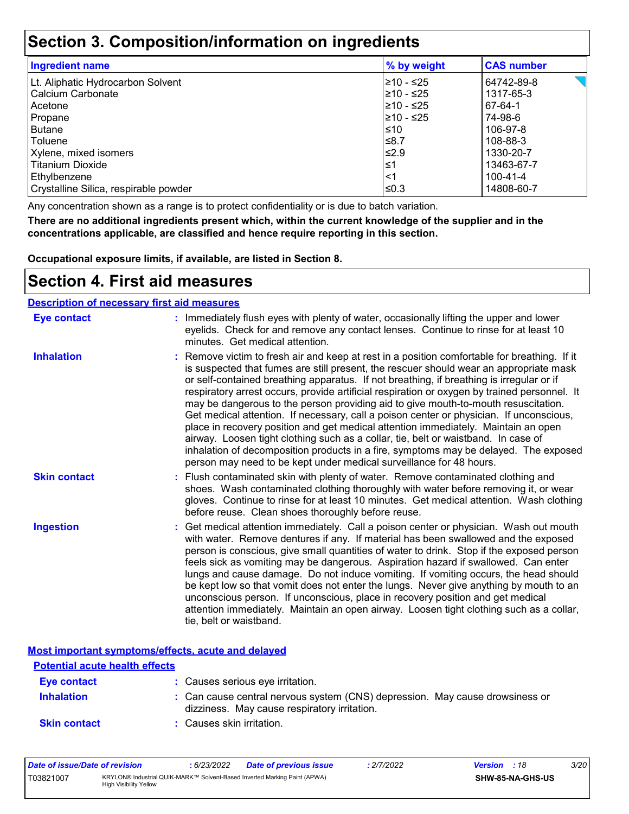### **Section 3. Composition/information on ingredients**

| <b>Ingredient name</b>                | % by weight | <b>CAS number</b> |
|---------------------------------------|-------------|-------------------|
| Lt. Aliphatic Hydrocarbon Solvent     | 210 - ≤25   | 64742-89-8        |
| Calcium Carbonate                     | 210 - ≤25   | 1317-65-3         |
| Acetone                               | 210 - ≤25   | 67-64-1           |
| Propane                               | 210 - ≤25   | 74-98-6           |
| <b>Butane</b>                         | 1≤10        | 106-97-8          |
| Toluene                               | ≤8.7        | 108-88-3          |
| Xylene, mixed isomers                 | $\leq 2.9$  | 1330-20-7         |
| <b>Titanium Dioxide</b>               | ∣≤1         | 13463-67-7        |
| Ethylbenzene                          | ∣<1         | 100-41-4          |
| Crystalline Silica, respirable powder | l≤0.3       | 14808-60-7        |

Any concentration shown as a range is to protect confidentiality or is due to batch variation.

**There are no additional ingredients present which, within the current knowledge of the supplier and in the concentrations applicable, are classified and hence require reporting in this section.**

**Occupational exposure limits, if available, are listed in Section 8.**

### **Section 4. First aid measures**

| <b>Description of necessary first aid measures</b> |                                                                                                                                                                                                                                                                                                                                                                                                                                                                                                                                                                                                                                                                                                                                                                                                                                                                                                                |
|----------------------------------------------------|----------------------------------------------------------------------------------------------------------------------------------------------------------------------------------------------------------------------------------------------------------------------------------------------------------------------------------------------------------------------------------------------------------------------------------------------------------------------------------------------------------------------------------------------------------------------------------------------------------------------------------------------------------------------------------------------------------------------------------------------------------------------------------------------------------------------------------------------------------------------------------------------------------------|
| <b>Eye contact</b>                                 | : Immediately flush eyes with plenty of water, occasionally lifting the upper and lower<br>eyelids. Check for and remove any contact lenses. Continue to rinse for at least 10<br>minutes. Get medical attention.                                                                                                                                                                                                                                                                                                                                                                                                                                                                                                                                                                                                                                                                                              |
| <b>Inhalation</b>                                  | : Remove victim to fresh air and keep at rest in a position comfortable for breathing. If it<br>is suspected that fumes are still present, the rescuer should wear an appropriate mask<br>or self-contained breathing apparatus. If not breathing, if breathing is irregular or if<br>respiratory arrest occurs, provide artificial respiration or oxygen by trained personnel. It<br>may be dangerous to the person providing aid to give mouth-to-mouth resuscitation.<br>Get medical attention. If necessary, call a poison center or physician. If unconscious,<br>place in recovery position and get medical attention immediately. Maintain an open<br>airway. Loosen tight clothing such as a collar, tie, belt or waistband. In case of<br>inhalation of decomposition products in a fire, symptoms may be delayed. The exposed<br>person may need to be kept under medical surveillance for 48 hours. |
| <b>Skin contact</b>                                | : Flush contaminated skin with plenty of water. Remove contaminated clothing and<br>shoes. Wash contaminated clothing thoroughly with water before removing it, or wear<br>gloves. Continue to rinse for at least 10 minutes. Get medical attention. Wash clothing<br>before reuse. Clean shoes thoroughly before reuse.                                                                                                                                                                                                                                                                                                                                                                                                                                                                                                                                                                                       |
| <b>Ingestion</b>                                   | : Get medical attention immediately. Call a poison center or physician. Wash out mouth<br>with water. Remove dentures if any. If material has been swallowed and the exposed<br>person is conscious, give small quantities of water to drink. Stop if the exposed person<br>feels sick as vomiting may be dangerous. Aspiration hazard if swallowed. Can enter<br>lungs and cause damage. Do not induce vomiting. If vomiting occurs, the head should<br>be kept low so that vomit does not enter the lungs. Never give anything by mouth to an<br>unconscious person. If unconscious, place in recovery position and get medical<br>attention immediately. Maintain an open airway. Loosen tight clothing such as a collar,<br>tie, belt or waistband.                                                                                                                                                        |

**Most important symptoms/effects, acute and delayed**

| <b>Potential acute health effects</b> |                                                                                                                              |
|---------------------------------------|------------------------------------------------------------------------------------------------------------------------------|
| Eye contact                           | : Causes serious eye irritation.                                                                                             |
| <b>Inhalation</b>                     | : Can cause central nervous system (CNS) depression. May cause drowsiness or<br>dizziness. May cause respiratory irritation. |
| <b>Skin contact</b>                   | : Causes skin irritation.                                                                                                    |

| Date of issue/Date of revision |                               | 6/23/2022 | Date of previous issue                                                    | 2/7/2022 | <b>Version</b> : 18 |                  | <i>3/20</i> |
|--------------------------------|-------------------------------|-----------|---------------------------------------------------------------------------|----------|---------------------|------------------|-------------|
| T03821007                      | <b>High Visibility Yellow</b> |           | KRYLON® Industrial QUIK-MARK™ Solvent-Based Inverted Marking Paint (APWA) |          |                     | SHW-85-NA-GHS-US |             |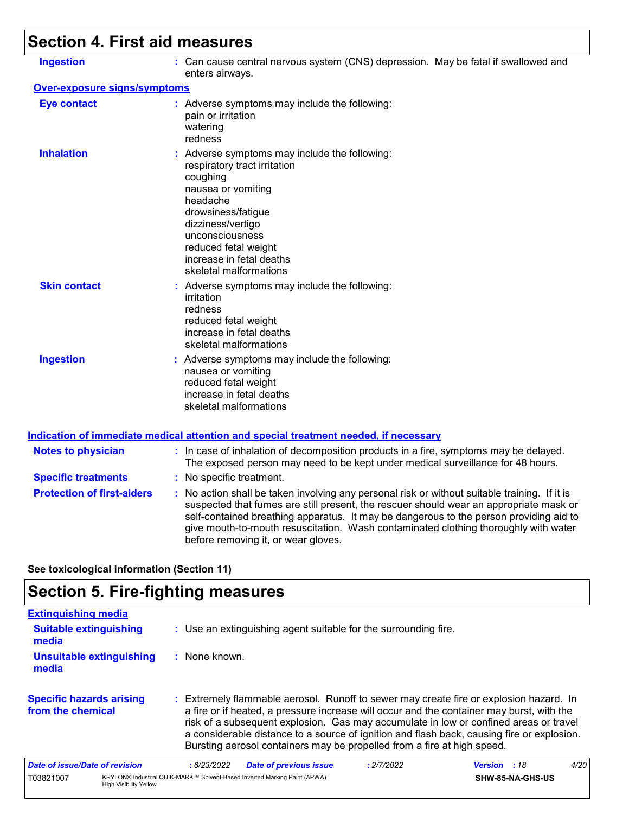# **Section 4. First aid measures**

| <b>Ingestion</b>                    | : Can cause central nervous system (CNS) depression. May be fatal if swallowed and<br>enters airways.                                                                                                                                                                                                                                                                                                           |
|-------------------------------------|-----------------------------------------------------------------------------------------------------------------------------------------------------------------------------------------------------------------------------------------------------------------------------------------------------------------------------------------------------------------------------------------------------------------|
| <b>Over-exposure signs/symptoms</b> |                                                                                                                                                                                                                                                                                                                                                                                                                 |
| <b>Eye contact</b>                  | : Adverse symptoms may include the following:<br>pain or irritation<br>watering<br>redness                                                                                                                                                                                                                                                                                                                      |
| <b>Inhalation</b>                   | : Adverse symptoms may include the following:<br>respiratory tract irritation<br>coughing<br>nausea or vomiting<br>headache<br>drowsiness/fatigue<br>dizziness/vertigo<br>unconsciousness<br>reduced fetal weight<br>increase in fetal deaths<br>skeletal malformations                                                                                                                                         |
| <b>Skin contact</b>                 | : Adverse symptoms may include the following:<br>irritation<br>redness<br>reduced fetal weight<br>increase in fetal deaths<br>skeletal malformations                                                                                                                                                                                                                                                            |
| <b>Ingestion</b>                    | : Adverse symptoms may include the following:<br>nausea or vomiting<br>reduced fetal weight<br>increase in fetal deaths<br>skeletal malformations                                                                                                                                                                                                                                                               |
|                                     | <u>Indication of immediate medical attention and special treatment needed, if necessary</u>                                                                                                                                                                                                                                                                                                                     |
| <b>Notes to physician</b>           | : In case of inhalation of decomposition products in a fire, symptoms may be delayed.<br>The exposed person may need to be kept under medical surveillance for 48 hours.                                                                                                                                                                                                                                        |
| <b>Specific treatments</b>          | : No specific treatment.                                                                                                                                                                                                                                                                                                                                                                                        |
| <b>Protection of first-aiders</b>   | : No action shall be taken involving any personal risk or without suitable training. If it is<br>suspected that fumes are still present, the rescuer should wear an appropriate mask or<br>self-contained breathing apparatus. It may be dangerous to the person providing aid to<br>give mouth-to-mouth resuscitation. Wash contaminated clothing thoroughly with water<br>before removing it, or wear gloves. |

**See toxicological information (Section 11)**

# **Section 5. Fire-fighting measures**

| <b>Extinguishing media</b>                           |                               |                 |                                                                                                                                                                                                                                                                                                                                                                                                                                                       |            |                     |                  |      |
|------------------------------------------------------|-------------------------------|-----------------|-------------------------------------------------------------------------------------------------------------------------------------------------------------------------------------------------------------------------------------------------------------------------------------------------------------------------------------------------------------------------------------------------------------------------------------------------------|------------|---------------------|------------------|------|
| <b>Suitable extinguishing</b><br>media               |                               |                 | : Use an extinguishing agent suitable for the surrounding fire.                                                                                                                                                                                                                                                                                                                                                                                       |            |                     |                  |      |
| Unsuitable extinguishing<br>media                    |                               | $:$ None known. |                                                                                                                                                                                                                                                                                                                                                                                                                                                       |            |                     |                  |      |
| <b>Specific hazards arising</b><br>from the chemical |                               |                 | : Extremely flammable aerosol. Runoff to sewer may create fire or explosion hazard. In<br>a fire or if heated, a pressure increase will occur and the container may burst, with the<br>risk of a subsequent explosion. Gas may accumulate in low or confined areas or travel<br>a considerable distance to a source of ignition and flash back, causing fire or explosion.<br>Bursting aerosol containers may be propelled from a fire at high speed. |            |                     |                  |      |
| Date of issue/Date of revision                       |                               | :6/23/2022      | <b>Date of previous issue</b>                                                                                                                                                                                                                                                                                                                                                                                                                         | : 2/7/2022 | <b>Version</b> : 18 |                  | 4/20 |
| T03821007                                            | <b>High Visibility Yellow</b> |                 | KRYLON® Industrial QUIK-MARK™ Solvent-Based Inverted Marking Paint (APWA)                                                                                                                                                                                                                                                                                                                                                                             |            |                     | SHW-85-NA-GHS-US |      |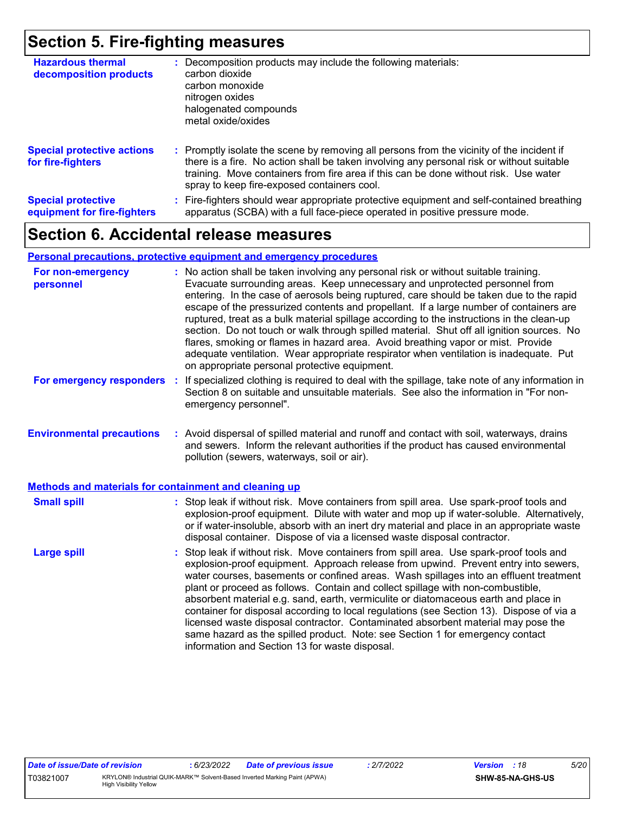### **Section 5. Fire-fighting measures**

| <b>Hazardous thermal</b><br>decomposition products       | Decomposition products may include the following materials:<br>carbon dioxide<br>carbon monoxide<br>nitrogen oxides<br>halogenated compounds<br>metal oxide/oxides                                                                                                                                                            |
|----------------------------------------------------------|-------------------------------------------------------------------------------------------------------------------------------------------------------------------------------------------------------------------------------------------------------------------------------------------------------------------------------|
| <b>Special protective actions</b><br>for fire-fighters   | : Promptly isolate the scene by removing all persons from the vicinity of the incident if<br>there is a fire. No action shall be taken involving any personal risk or without suitable<br>training. Move containers from fire area if this can be done without risk. Use water<br>spray to keep fire-exposed containers cool. |
| <b>Special protective</b><br>equipment for fire-fighters | Fire-fighters should wear appropriate protective equipment and self-contained breathing<br>apparatus (SCBA) with a full face-piece operated in positive pressure mode.                                                                                                                                                        |

## **Section 6. Accidental release measures**

#### **Personal precautions, protective equipment and emergency procedures**

| For non-emergency<br>personnel                        | : No action shall be taken involving any personal risk or without suitable training.<br>Evacuate surrounding areas. Keep unnecessary and unprotected personnel from<br>entering. In the case of aerosols being ruptured, care should be taken due to the rapid<br>escape of the pressurized contents and propellant. If a large number of containers are<br>ruptured, treat as a bulk material spillage according to the instructions in the clean-up<br>section. Do not touch or walk through spilled material. Shut off all ignition sources. No<br>flares, smoking or flames in hazard area. Avoid breathing vapor or mist. Provide<br>adequate ventilation. Wear appropriate respirator when ventilation is inadequate. Put<br>on appropriate personal protective equipment. |  |
|-------------------------------------------------------|----------------------------------------------------------------------------------------------------------------------------------------------------------------------------------------------------------------------------------------------------------------------------------------------------------------------------------------------------------------------------------------------------------------------------------------------------------------------------------------------------------------------------------------------------------------------------------------------------------------------------------------------------------------------------------------------------------------------------------------------------------------------------------|--|
| For emergency responders                              | If specialized clothing is required to deal with the spillage, take note of any information in<br>÷.<br>Section 8 on suitable and unsuitable materials. See also the information in "For non-<br>emergency personnel".                                                                                                                                                                                                                                                                                                                                                                                                                                                                                                                                                           |  |
| <b>Environmental precautions</b>                      | : Avoid dispersal of spilled material and runoff and contact with soil, waterways, drains<br>and sewers. Inform the relevant authorities if the product has caused environmental<br>pollution (sewers, waterways, soil or air).                                                                                                                                                                                                                                                                                                                                                                                                                                                                                                                                                  |  |
| Methods and materials for containment and cleaning up |                                                                                                                                                                                                                                                                                                                                                                                                                                                                                                                                                                                                                                                                                                                                                                                  |  |
| <b>Small spill</b>                                    | : Stop leak if without risk. Move containers from spill area. Use spark-proof tools and<br>explosion-proof equipment. Dilute with water and mop up if water-soluble. Alternatively,<br>or if water-insoluble, absorb with an inert dry material and place in an appropriate waste<br>disposal container. Dispose of via a licensed waste disposal contractor.                                                                                                                                                                                                                                                                                                                                                                                                                    |  |
| <b>Large spill</b>                                    | : Stop leak if without risk. Move containers from spill area. Use spark-proof tools and<br>explosion-proof equipment. Approach release from upwind. Prevent entry into sewers,<br>water courses, basements or confined areas. Wash spillages into an effluent treatment<br>plant or proceed as follows. Contain and collect spillage with non-combustible,<br>absorbent material e.g. sand, earth, vermiculite or diatomaceous earth and place in<br>container for disposal according to local regulations (see Section 13). Dispose of via a<br>licensed waste disposal contractor. Contaminated absorbent material may pose the<br>same hazard as the spilled product. Note: see Section 1 for emergency contact<br>information and Section 13 for waste disposal.             |  |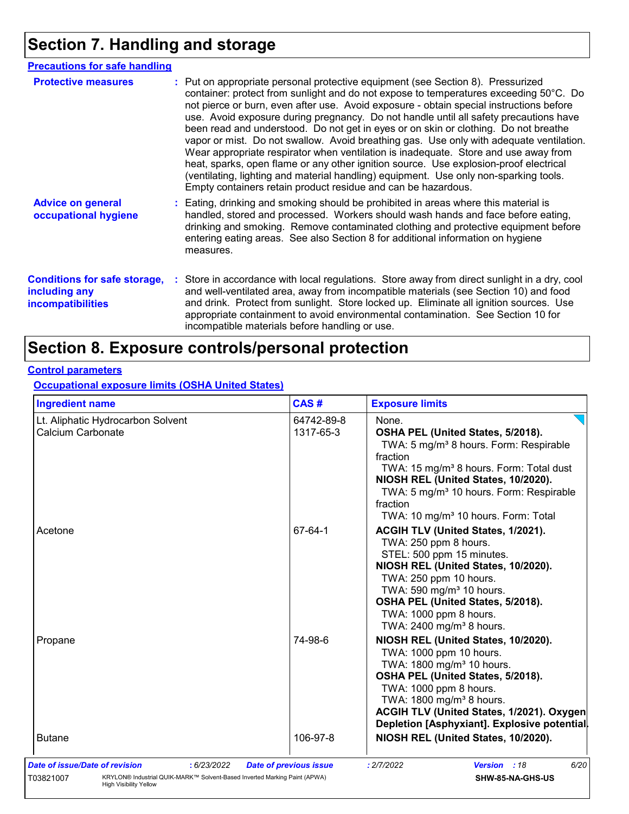# **Section 7. Handling and storage**

| <b>Precautions for safe handling</b>                                      |                                                                                                                                                                                                                                                                                                                                                                                                                                                                                                                                                                                                                                                                                                                                                                                                                                                                                          |
|---------------------------------------------------------------------------|------------------------------------------------------------------------------------------------------------------------------------------------------------------------------------------------------------------------------------------------------------------------------------------------------------------------------------------------------------------------------------------------------------------------------------------------------------------------------------------------------------------------------------------------------------------------------------------------------------------------------------------------------------------------------------------------------------------------------------------------------------------------------------------------------------------------------------------------------------------------------------------|
| <b>Protective measures</b>                                                | : Put on appropriate personal protective equipment (see Section 8). Pressurized<br>container: protect from sunlight and do not expose to temperatures exceeding 50°C. Do<br>not pierce or burn, even after use. Avoid exposure - obtain special instructions before<br>use. Avoid exposure during pregnancy. Do not handle until all safety precautions have<br>been read and understood. Do not get in eyes or on skin or clothing. Do not breathe<br>vapor or mist. Do not swallow. Avoid breathing gas. Use only with adequate ventilation.<br>Wear appropriate respirator when ventilation is inadequate. Store and use away from<br>heat, sparks, open flame or any other ignition source. Use explosion-proof electrical<br>(ventilating, lighting and material handling) equipment. Use only non-sparking tools.<br>Empty containers retain product residue and can be hazardous. |
| <b>Advice on general</b><br>occupational hygiene                          | : Eating, drinking and smoking should be prohibited in areas where this material is<br>handled, stored and processed. Workers should wash hands and face before eating,<br>drinking and smoking. Remove contaminated clothing and protective equipment before<br>entering eating areas. See also Section 8 for additional information on hygiene<br>measures.                                                                                                                                                                                                                                                                                                                                                                                                                                                                                                                            |
| <b>Conditions for safe storage,</b><br>including any<br>incompatibilities | : Store in accordance with local regulations. Store away from direct sunlight in a dry, cool<br>and well-ventilated area, away from incompatible materials (see Section 10) and food<br>and drink. Protect from sunlight. Store locked up. Eliminate all ignition sources. Use<br>appropriate containment to avoid environmental contamination. See Section 10 for<br>incompatible materials before handling or use.                                                                                                                                                                                                                                                                                                                                                                                                                                                                     |

# **Section 8. Exposure controls/personal protection**

### **Control parameters**

**Occupational exposure limits (OSHA United States)**

| <b>Ingredient name</b>                                 | CAS#                    | <b>Exposure limits</b>                                                                                                                                                                                                                                                                                     |
|--------------------------------------------------------|-------------------------|------------------------------------------------------------------------------------------------------------------------------------------------------------------------------------------------------------------------------------------------------------------------------------------------------------|
| Lt. Aliphatic Hydrocarbon Solvent<br>Calcium Carbonate | 64742-89-8<br>1317-65-3 | None.<br>OSHA PEL (United States, 5/2018).                                                                                                                                                                                                                                                                 |
|                                                        |                         | TWA: 5 mg/m <sup>3</sup> 8 hours. Form: Respirable<br>fraction<br>TWA: 15 mg/m <sup>3</sup> 8 hours. Form: Total dust<br>NIOSH REL (United States, 10/2020).<br>TWA: 5 mg/m <sup>3</sup> 10 hours. Form: Respirable<br>fraction<br>TWA: 10 mg/m <sup>3</sup> 10 hours. Form: Total                         |
| Acetone                                                | 67-64-1                 | ACGIH TLV (United States, 1/2021).<br>TWA: 250 ppm 8 hours.<br>STEL: 500 ppm 15 minutes.<br>NIOSH REL (United States, 10/2020).<br>TWA: 250 ppm 10 hours.<br>TWA: 590 mg/m <sup>3</sup> 10 hours.<br>OSHA PEL (United States, 5/2018).<br>TWA: 1000 ppm 8 hours.<br>TWA: 2400 mg/m <sup>3</sup> 8 hours.   |
| Propane                                                | 74-98-6                 | NIOSH REL (United States, 10/2020).<br>TWA: 1000 ppm 10 hours.<br>TWA: 1800 mg/m <sup>3</sup> 10 hours.<br>OSHA PEL (United States, 5/2018).<br>TWA: 1000 ppm 8 hours.<br>TWA: 1800 mg/m <sup>3</sup> 8 hours.<br>ACGIH TLV (United States, 1/2021). Oxygen<br>Depletion [Asphyxiant]. Explosive potential |
|                                                        |                         |                                                                                                                                                                                                                                                                                                            |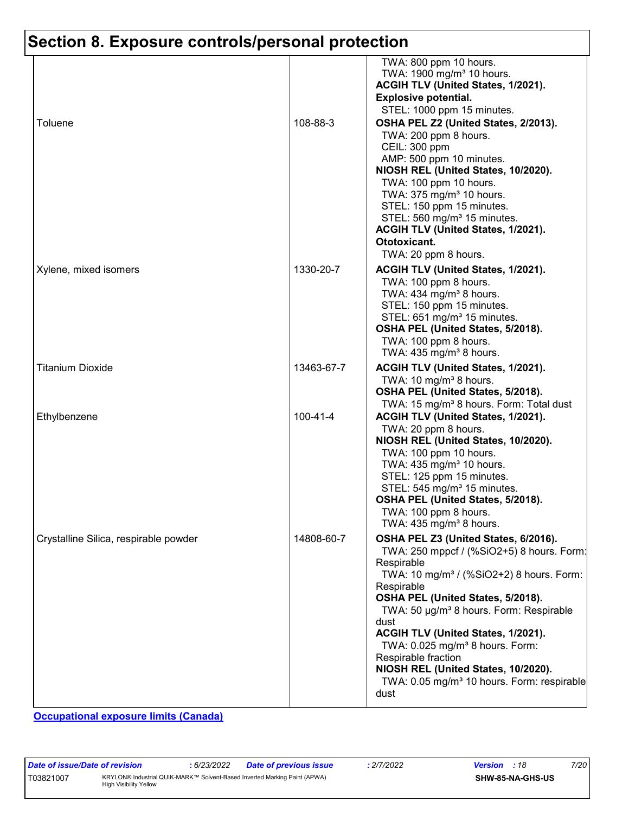| Toluene                               | 108-88-3       | TWA: 800 ppm 10 hours.<br>TWA: 1900 mg/m <sup>3</sup> 10 hours.<br>ACGIH TLV (United States, 1/2021).<br><b>Explosive potential.</b><br>STEL: 1000 ppm 15 minutes.<br>OSHA PEL Z2 (United States, 2/2013).<br>TWA: 200 ppm 8 hours.<br>CEIL: 300 ppm<br>AMP: 500 ppm 10 minutes.<br>NIOSH REL (United States, 10/2020).<br>TWA: 100 ppm 10 hours.<br>TWA: 375 mg/m <sup>3</sup> 10 hours.<br>STEL: 150 ppm 15 minutes.                                                                         |
|---------------------------------------|----------------|------------------------------------------------------------------------------------------------------------------------------------------------------------------------------------------------------------------------------------------------------------------------------------------------------------------------------------------------------------------------------------------------------------------------------------------------------------------------------------------------|
|                                       |                | STEL: 560 mg/m <sup>3</sup> 15 minutes.<br>ACGIH TLV (United States, 1/2021).<br>Ototoxicant.<br>TWA: 20 ppm 8 hours.                                                                                                                                                                                                                                                                                                                                                                          |
| Xylene, mixed isomers                 | 1330-20-7      | ACGIH TLV (United States, 1/2021).<br>TWA: 100 ppm 8 hours.<br>TWA: 434 mg/m <sup>3</sup> 8 hours.<br>STEL: 150 ppm 15 minutes.<br>STEL: 651 mg/m <sup>3</sup> 15 minutes.<br>OSHA PEL (United States, 5/2018).<br>TWA: 100 ppm 8 hours.<br>TWA: $435 \text{ mg/m}^3$ 8 hours.                                                                                                                                                                                                                 |
| Titanium Dioxide                      | 13463-67-7     | ACGIH TLV (United States, 1/2021).<br>TWA: 10 mg/m <sup>3</sup> 8 hours.<br>OSHA PEL (United States, 5/2018).<br>TWA: 15 mg/m <sup>3</sup> 8 hours. Form: Total dust                                                                                                                                                                                                                                                                                                                           |
| Ethylbenzene                          | $100 - 41 - 4$ | ACGIH TLV (United States, 1/2021).<br>TWA: 20 ppm 8 hours.<br>NIOSH REL (United States, 10/2020).<br>TWA: 100 ppm 10 hours.<br>TWA: 435 mg/m <sup>3</sup> 10 hours.<br>STEL: 125 ppm 15 minutes.<br>STEL: 545 mg/m <sup>3</sup> 15 minutes.<br>OSHA PEL (United States, 5/2018).<br>TWA: 100 ppm 8 hours.<br>TWA: $435 \text{ mg/m}^3$ 8 hours.                                                                                                                                                |
| Crystalline Silica, respirable powder | 14808-60-7     | OSHA PEL Z3 (United States, 6/2016).<br>TWA: 250 mppcf / (%SiO2+5) 8 hours. Form:<br>Respirable<br>TWA: 10 mg/m <sup>3</sup> / (%SiO2+2) 8 hours. Form:<br>Respirable<br>OSHA PEL (United States, 5/2018).<br>TWA: 50 µg/m <sup>3</sup> 8 hours. Form: Respirable<br>dust<br>ACGIH TLV (United States, 1/2021).<br>TWA: 0.025 mg/m <sup>3</sup> 8 hours. Form:<br>Respirable fraction<br>NIOSH REL (United States, 10/2020).<br>TWA: 0.05 mg/m <sup>3</sup> 10 hours. Form: respirable<br>dust |

**Occupational exposure limits (Canada)**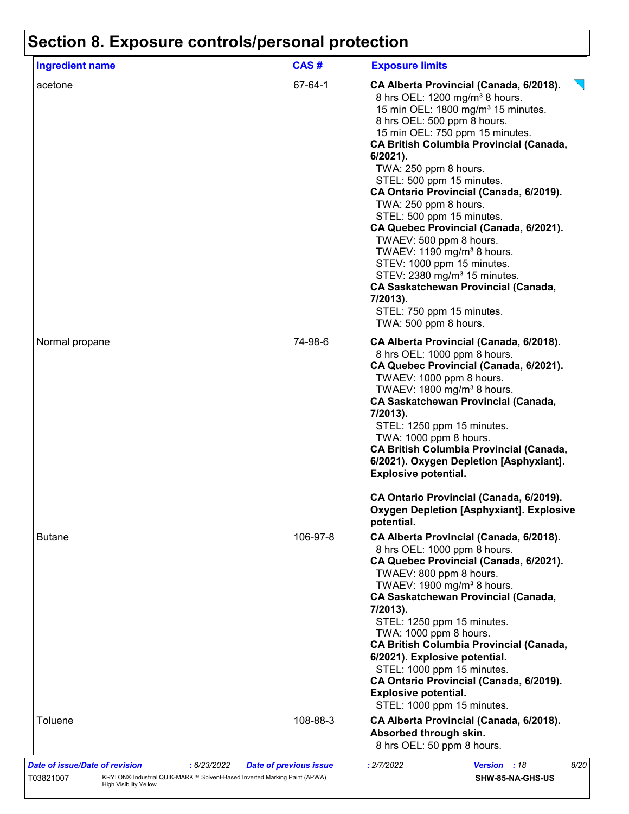| <b>Ingredient name</b> | CAS#     | <b>Exposure limits</b>                                                                                                                                                                                                                                                                                                                                                                                                                                                                                                                                                                                                                                                                                                                     |
|------------------------|----------|--------------------------------------------------------------------------------------------------------------------------------------------------------------------------------------------------------------------------------------------------------------------------------------------------------------------------------------------------------------------------------------------------------------------------------------------------------------------------------------------------------------------------------------------------------------------------------------------------------------------------------------------------------------------------------------------------------------------------------------------|
| acetone                | 67-64-1  | CA Alberta Provincial (Canada, 6/2018).<br>8 hrs OEL: 1200 mg/m <sup>3</sup> 8 hours.<br>15 min OEL: 1800 mg/m <sup>3</sup> 15 minutes.<br>8 hrs OEL: 500 ppm 8 hours.<br>15 min OEL: 750 ppm 15 minutes.<br><b>CA British Columbia Provincial (Canada,</b><br>$6/2021$ ).<br>TWA: 250 ppm 8 hours.<br>STEL: 500 ppm 15 minutes.<br>CA Ontario Provincial (Canada, 6/2019).<br>TWA: 250 ppm 8 hours.<br>STEL: 500 ppm 15 minutes.<br>CA Quebec Provincial (Canada, 6/2021).<br>TWAEV: 500 ppm 8 hours.<br>TWAEV: 1190 mg/m <sup>3</sup> 8 hours.<br>STEV: 1000 ppm 15 minutes.<br>STEV: 2380 mg/m <sup>3</sup> 15 minutes.<br><b>CA Saskatchewan Provincial (Canada,</b><br>7/2013).<br>STEL: 750 ppm 15 minutes.<br>TWA: 500 ppm 8 hours. |
| Normal propane         | 74-98-6  | CA Alberta Provincial (Canada, 6/2018).<br>8 hrs OEL: 1000 ppm 8 hours.<br>CA Quebec Provincial (Canada, 6/2021).<br>TWAEV: 1000 ppm 8 hours.<br>TWAEV: 1800 mg/m <sup>3</sup> 8 hours.<br><b>CA Saskatchewan Provincial (Canada,</b><br>7/2013).<br>STEL: 1250 ppm 15 minutes.<br>TWA: 1000 ppm 8 hours.<br><b>CA British Columbia Provincial (Canada,</b><br>6/2021). Oxygen Depletion [Asphyxiant].<br><b>Explosive potential.</b>                                                                                                                                                                                                                                                                                                      |
|                        |          | CA Ontario Provincial (Canada, 6/2019).<br><b>Oxygen Depletion [Asphyxiant]. Explosive</b><br>potential.                                                                                                                                                                                                                                                                                                                                                                                                                                                                                                                                                                                                                                   |
| Butane                 | 106-97-8 | CA Alberta Provincial (Canada, 6/2018).<br>8 hrs OEL: 1000 ppm 8 hours.<br>CA Quebec Provincial (Canada, 6/2021).<br>TWAEV: 800 ppm 8 hours.<br>TWAEV: 1900 mg/m <sup>3</sup> 8 hours.<br><b>CA Saskatchewan Provincial (Canada,</b><br>7/2013).<br>STEL: 1250 ppm 15 minutes.<br>TWA: 1000 ppm 8 hours.<br><b>CA British Columbia Provincial (Canada,</b><br>6/2021). Explosive potential.<br>STEL: 1000 ppm 15 minutes.<br>CA Ontario Provincial (Canada, 6/2019).<br><b>Explosive potential.</b><br>STEL: 1000 ppm 15 minutes.                                                                                                                                                                                                          |
| Toluene                | 108-88-3 | CA Alberta Provincial (Canada, 6/2018).<br>Absorbed through skin.<br>8 hrs OEL: 50 ppm 8 hours.                                                                                                                                                                                                                                                                                                                                                                                                                                                                                                                                                                                                                                            |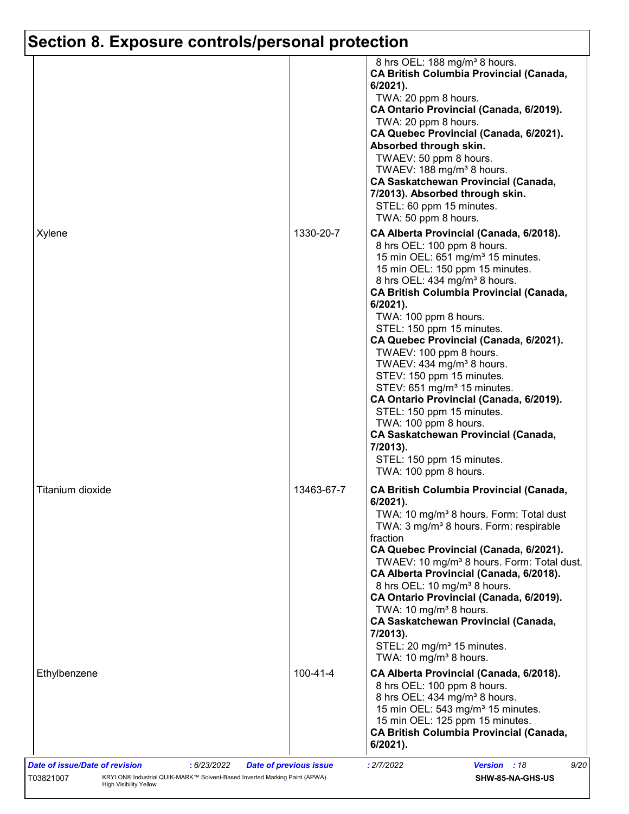|                  |            | 8 hrs OEL: 188 mg/m <sup>3</sup> 8 hours.<br><b>CA British Columbia Provincial (Canada,</b><br>$6/2021$ ).<br>TWA: 20 ppm 8 hours.<br>CA Ontario Provincial (Canada, 6/2019).<br>TWA: 20 ppm 8 hours.<br>CA Quebec Provincial (Canada, 6/2021).<br>Absorbed through skin.<br>TWAEV: 50 ppm 8 hours.<br>TWAEV: 188 mg/m <sup>3</sup> 8 hours.<br>CA Saskatchewan Provincial (Canada,<br>7/2013). Absorbed through skin.<br>STEL: 60 ppm 15 minutes.<br>TWA: 50 ppm 8 hours.                                                                                                                                                                                                                                                         |
|------------------|------------|------------------------------------------------------------------------------------------------------------------------------------------------------------------------------------------------------------------------------------------------------------------------------------------------------------------------------------------------------------------------------------------------------------------------------------------------------------------------------------------------------------------------------------------------------------------------------------------------------------------------------------------------------------------------------------------------------------------------------------|
| Xylene           | 1330-20-7  | CA Alberta Provincial (Canada, 6/2018).<br>8 hrs OEL: 100 ppm 8 hours.<br>15 min OEL: 651 mg/m <sup>3</sup> 15 minutes.<br>15 min OEL: 150 ppm 15 minutes.<br>8 hrs OEL: 434 mg/m <sup>3</sup> 8 hours.<br><b>CA British Columbia Provincial (Canada,</b><br>6/2021).<br>TWA: 100 ppm 8 hours.<br>STEL: 150 ppm 15 minutes.<br>CA Quebec Provincial (Canada, 6/2021).<br>TWAEV: 100 ppm 8 hours.<br>TWAEV: 434 mg/m <sup>3</sup> 8 hours.<br>STEV: 150 ppm 15 minutes.<br>STEV: 651 mg/m <sup>3</sup> 15 minutes.<br>CA Ontario Provincial (Canada, 6/2019).<br>STEL: 150 ppm 15 minutes.<br>TWA: 100 ppm 8 hours.<br><b>CA Saskatchewan Provincial (Canada,</b><br>7/2013).<br>STEL: 150 ppm 15 minutes.<br>TWA: 100 ppm 8 hours. |
| Titanium dioxide | 13463-67-7 | <b>CA British Columbia Provincial (Canada,</b><br>$6/2021$ ).<br>TWA: 10 mg/m <sup>3</sup> 8 hours. Form: Total dust<br>TWA: 3 mg/m <sup>3</sup> 8 hours. Form: respirable<br>fraction<br>CA Quebec Provincial (Canada, 6/2021).<br>TWAEV: 10 mg/m <sup>3</sup> 8 hours. Form: Total dust.<br>CA Alberta Provincial (Canada, 6/2018).<br>8 hrs OEL: 10 mg/m <sup>3</sup> 8 hours.<br>CA Ontario Provincial (Canada, 6/2019).<br>TWA: 10 mg/m <sup>3</sup> 8 hours.<br><b>CA Saskatchewan Provincial (Canada,</b><br>7/2013).<br>STEL: 20 mg/m <sup>3</sup> 15 minutes.<br>TWA: 10 mg/m <sup>3</sup> 8 hours.                                                                                                                       |
| Ethylbenzene     | 100-41-4   | CA Alberta Provincial (Canada, 6/2018).<br>8 hrs OEL: 100 ppm 8 hours.<br>8 hrs OEL: 434 mg/m <sup>3</sup> 8 hours.<br>15 min OEL: 543 mg/m <sup>3</sup> 15 minutes.<br>15 min OEL: 125 ppm 15 minutes.<br><b>CA British Columbia Provincial (Canada,</b><br>6/2021).                                                                                                                                                                                                                                                                                                                                                                                                                                                              |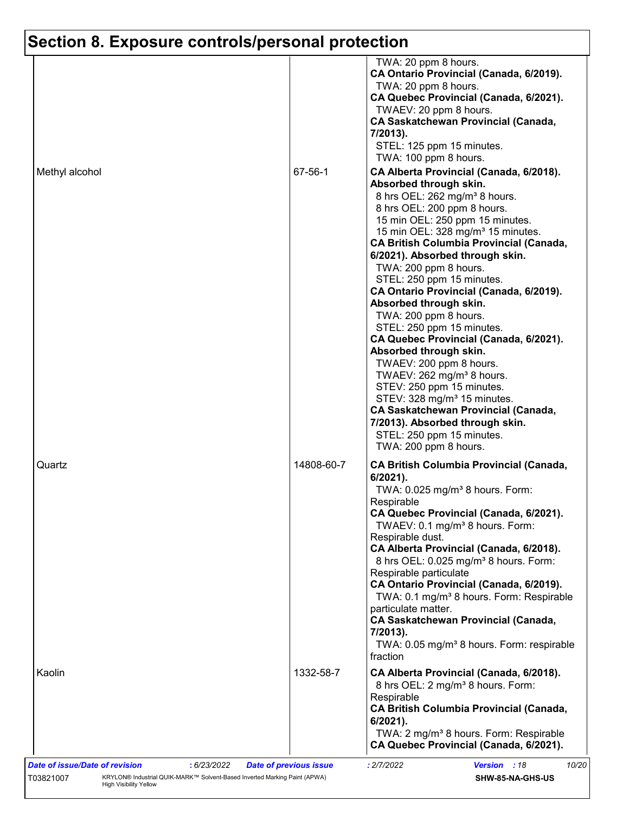| Methyl alcohol | 67-56-1    | TWA: 20 ppm 8 hours.<br>CA Ontario Provincial (Canada, 6/2019).<br>TWA: 20 ppm 8 hours.<br>CA Quebec Provincial (Canada, 6/2021).<br>TWAEV: 20 ppm 8 hours.<br><b>CA Saskatchewan Provincial (Canada,</b><br>7/2013).<br>STEL: 125 ppm 15 minutes.<br>TWA: 100 ppm 8 hours.<br>CA Alberta Provincial (Canada, 6/2018).<br>Absorbed through skin.<br>8 hrs OEL: 262 mg/m <sup>3</sup> 8 hours.<br>8 hrs OEL: 200 ppm 8 hours.<br>15 min OEL: 250 ppm 15 minutes.<br>15 min OEL: 328 mg/m <sup>3</sup> 15 minutes.<br><b>CA British Columbia Provincial (Canada,</b><br>6/2021). Absorbed through skin.<br>TWA: 200 ppm 8 hours.<br>STEL: 250 ppm 15 minutes.<br>CA Ontario Provincial (Canada, 6/2019).<br>Absorbed through skin.<br>TWA: 200 ppm 8 hours.<br>STEL: 250 ppm 15 minutes.<br>CA Quebec Provincial (Canada, 6/2021).<br>Absorbed through skin.<br>TWAEV: 200 ppm 8 hours.<br>TWAEV: 262 mg/m <sup>3</sup> 8 hours.<br>STEV: 250 ppm 15 minutes.<br>STEV: 328 mg/m <sup>3</sup> 15 minutes. |
|----------------|------------|--------------------------------------------------------------------------------------------------------------------------------------------------------------------------------------------------------------------------------------------------------------------------------------------------------------------------------------------------------------------------------------------------------------------------------------------------------------------------------------------------------------------------------------------------------------------------------------------------------------------------------------------------------------------------------------------------------------------------------------------------------------------------------------------------------------------------------------------------------------------------------------------------------------------------------------------------------------------------------------------------------|
|                |            | <b>CA Saskatchewan Provincial (Canada,</b><br>7/2013). Absorbed through skin.<br>STEL: 250 ppm 15 minutes.<br>TWA: 200 ppm 8 hours.                                                                                                                                                                                                                                                                                                                                                                                                                                                                                                                                                                                                                                                                                                                                                                                                                                                                    |
| Quartz         | 14808-60-7 | <b>CA British Columbia Provincial (Canada,</b><br>$6/2021$ ).<br>TWA: 0.025 mg/m <sup>3</sup> 8 hours. Form:<br>Respirable<br>CA Quebec Provincial (Canada, 6/2021).<br>TWAEV: 0.1 mg/m <sup>3</sup> 8 hours. Form:<br>Respirable dust.<br>CA Alberta Provincial (Canada, 6/2018).<br>8 hrs OEL: 0.025 mg/m <sup>3</sup> 8 hours. Form:<br>Respirable particulate<br>CA Ontario Provincial (Canada, 6/2019).<br>TWA: 0.1 mg/m <sup>3</sup> 8 hours. Form: Respirable<br>particulate matter.<br><b>CA Saskatchewan Provincial (Canada,</b><br>7/2013).<br>TWA: 0.05 mg/m <sup>3</sup> 8 hours. Form: respirable<br>fraction                                                                                                                                                                                                                                                                                                                                                                             |
| Kaolin         | 1332-58-7  | CA Alberta Provincial (Canada, 6/2018).<br>8 hrs OEL: 2 mg/m <sup>3</sup> 8 hours. Form:<br>Respirable<br><b>CA British Columbia Provincial (Canada,</b><br>$6/2021$ ).<br>TWA: 2 mg/m <sup>3</sup> 8 hours. Form: Respirable<br>CA Quebec Provincial (Canada, 6/2021).                                                                                                                                                                                                                                                                                                                                                                                                                                                                                                                                                                                                                                                                                                                                |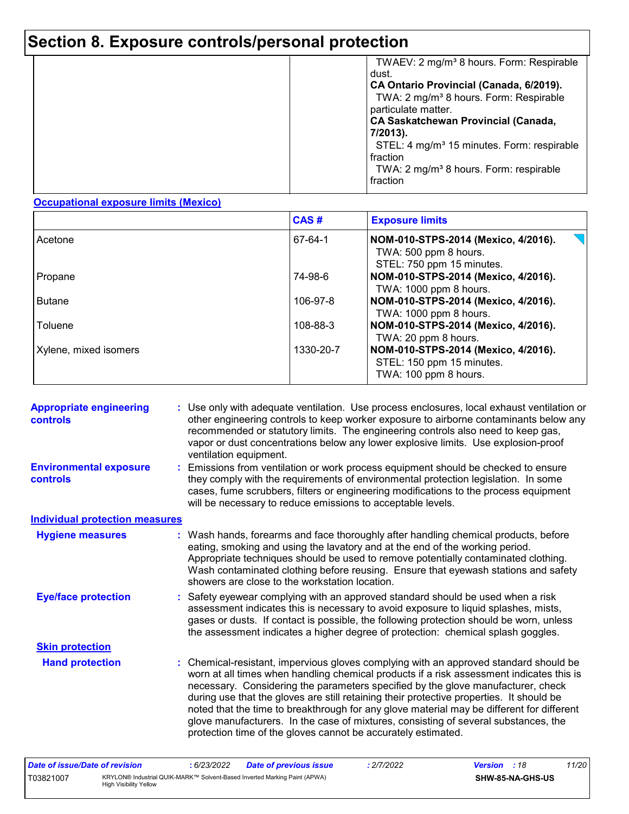|  | TWAEV: 2 mg/m <sup>3</sup> 8 hours. Form: Respirable<br>dust.<br>CA Ontario Provincial (Canada, 6/2019).<br>TWA: 2 mg/m <sup>3</sup> 8 hours. Form: Respirable<br>particulate matter.<br><b>CA Saskatchewan Provincial (Canada,</b><br>7/2013).<br>STEL: 4 mg/m <sup>3</sup> 15 minutes. Form: respirable<br>fraction<br>TWA: 2 mg/m <sup>3</sup> 8 hours. Form: respirable<br>fraction |
|--|-----------------------------------------------------------------------------------------------------------------------------------------------------------------------------------------------------------------------------------------------------------------------------------------------------------------------------------------------------------------------------------------|
|--|-----------------------------------------------------------------------------------------------------------------------------------------------------------------------------------------------------------------------------------------------------------------------------------------------------------------------------------------------------------------------------------------|

#### **Occupational exposure limits (Mexico)**

|                       | CAS#      | <b>Exposure limits</b>                                                                    |
|-----------------------|-----------|-------------------------------------------------------------------------------------------|
| Acetone               | 67-64-1   | NOM-010-STPS-2014 (Mexico, 4/2016).<br>TWA: 500 ppm 8 hours.<br>STEL: 750 ppm 15 minutes. |
| Propane               | 74-98-6   | NOM-010-STPS-2014 (Mexico, 4/2016).<br>TWA: 1000 ppm 8 hours.                             |
| <b>Butane</b>         | 106-97-8  | NOM-010-STPS-2014 (Mexico, 4/2016).<br>TWA: 1000 ppm 8 hours.                             |
| Toluene               | 108-88-3  | NOM-010-STPS-2014 (Mexico, 4/2016).<br>TWA: 20 ppm 8 hours.                               |
| Xylene, mixed isomers | 1330-20-7 | NOM-010-STPS-2014 (Mexico, 4/2016).<br>STEL: 150 ppm 15 minutes.<br>TWA: 100 ppm 8 hours. |

| <b>Appropriate engineering</b><br>controls | : Use only with adequate ventilation. Use process enclosures, local exhaust ventilation or<br>other engineering controls to keep worker exposure to airborne contaminants below any<br>recommended or statutory limits. The engineering controls also need to keep gas,<br>vapor or dust concentrations below any lower explosive limits. Use explosion-proof<br>ventilation equipment.                                                                                                                                                                                                                                |
|--------------------------------------------|------------------------------------------------------------------------------------------------------------------------------------------------------------------------------------------------------------------------------------------------------------------------------------------------------------------------------------------------------------------------------------------------------------------------------------------------------------------------------------------------------------------------------------------------------------------------------------------------------------------------|
| <b>Environmental exposure</b><br>controls  | Emissions from ventilation or work process equipment should be checked to ensure<br>they comply with the requirements of environmental protection legislation. In some<br>cases, fume scrubbers, filters or engineering modifications to the process equipment<br>will be necessary to reduce emissions to acceptable levels.                                                                                                                                                                                                                                                                                          |
| <b>Individual protection measures</b>      |                                                                                                                                                                                                                                                                                                                                                                                                                                                                                                                                                                                                                        |
| <b>Hygiene measures</b>                    | : Wash hands, forearms and face thoroughly after handling chemical products, before<br>eating, smoking and using the lavatory and at the end of the working period.<br>Appropriate techniques should be used to remove potentially contaminated clothing.<br>Wash contaminated clothing before reusing. Ensure that eyewash stations and safety<br>showers are close to the workstation location.                                                                                                                                                                                                                      |
| <b>Eye/face protection</b>                 | : Safety eyewear complying with an approved standard should be used when a risk<br>assessment indicates this is necessary to avoid exposure to liquid splashes, mists,<br>gases or dusts. If contact is possible, the following protection should be worn, unless<br>the assessment indicates a higher degree of protection: chemical splash goggles.                                                                                                                                                                                                                                                                  |
| <b>Skin protection</b>                     |                                                                                                                                                                                                                                                                                                                                                                                                                                                                                                                                                                                                                        |
| <b>Hand protection</b>                     | : Chemical-resistant, impervious gloves complying with an approved standard should be<br>worn at all times when handling chemical products if a risk assessment indicates this is<br>necessary. Considering the parameters specified by the glove manufacturer, check<br>during use that the gloves are still retaining their protective properties. It should be<br>noted that the time to breakthrough for any glove material may be different for different<br>glove manufacturers. In the case of mixtures, consisting of several substances, the<br>protection time of the gloves cannot be accurately estimated. |

| Date of issue/Date of revision |                                                                                                            | 6/23/2022 | Date of previous issue | 2/7/2022 | <b>Version</b> : 18 |                  | 11/20 |
|--------------------------------|------------------------------------------------------------------------------------------------------------|-----------|------------------------|----------|---------------------|------------------|-------|
| T03821007                      | KRYLON® Industrial QUIK-MARK™ Solvent-Based Inverted Marking Paint (APWA)<br><b>High Visibility Yellow</b> |           |                        |          |                     | SHW-85-NA-GHS-US |       |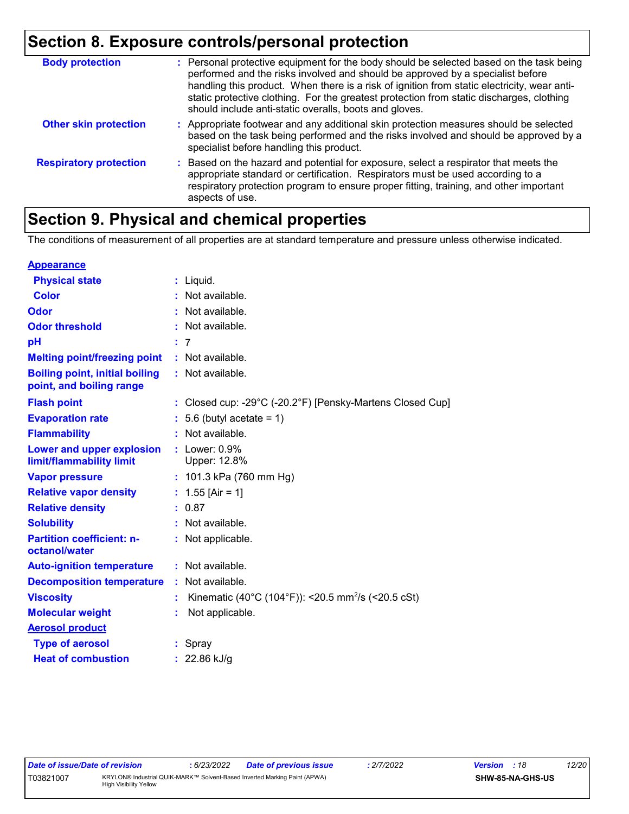| <b>Body protection</b>        | : Personal protective equipment for the body should be selected based on the task being<br>performed and the risks involved and should be approved by a specialist before<br>handling this product. When there is a risk of ignition from static electricity, wear anti-<br>static protective clothing. For the greatest protection from static discharges, clothing<br>should include anti-static overalls, boots and gloves. |
|-------------------------------|--------------------------------------------------------------------------------------------------------------------------------------------------------------------------------------------------------------------------------------------------------------------------------------------------------------------------------------------------------------------------------------------------------------------------------|
| <b>Other skin protection</b>  | : Appropriate footwear and any additional skin protection measures should be selected<br>based on the task being performed and the risks involved and should be approved by a<br>specialist before handling this product.                                                                                                                                                                                                      |
| <b>Respiratory protection</b> | : Based on the hazard and potential for exposure, select a respirator that meets the<br>appropriate standard or certification. Respirators must be used according to a<br>respiratory protection program to ensure proper fitting, training, and other important<br>aspects of use.                                                                                                                                            |

# **Section 9. Physical and chemical properties**

The conditions of measurement of all properties are at standard temperature and pressure unless otherwise indicated.

| <b>Appearance</b>                                                 |                                                                |
|-------------------------------------------------------------------|----------------------------------------------------------------|
| <b>Physical state</b>                                             | $:$ Liquid.                                                    |
| <b>Color</b>                                                      | $:$ Not available.                                             |
| Odor                                                              | : Not available.                                               |
| <b>Odor threshold</b>                                             | Not available.                                                 |
| рH                                                                | -7                                                             |
| <b>Melting point/freezing point</b>                               | $:$ Not available.                                             |
| <b>Boiling point, initial boiling</b><br>point, and boiling range | : Not available.                                               |
| <b>Flash point</b>                                                | : Closed cup: -29°C (-20.2°F) [Pensky-Martens Closed Cup]      |
| <b>Evaporation rate</b>                                           | 5.6 (butyl acetate = $1$ )                                     |
| <b>Flammability</b>                                               | Not available.                                                 |
| Lower and upper explosion<br>limit/flammability limit             | $:$ Lower: $0.9\%$<br>Upper: 12.8%                             |
| <b>Vapor pressure</b>                                             | : $101.3$ kPa (760 mm Hg)                                      |
| <b>Relative vapor density</b>                                     | : $1.55$ [Air = 1]                                             |
| <b>Relative density</b>                                           | : 0.87                                                         |
| <b>Solubility</b>                                                 | : Not available.                                               |
| <b>Partition coefficient: n-</b><br>octanol/water                 | : Not applicable.                                              |
| <b>Auto-ignition temperature</b>                                  | : Not available.                                               |
| <b>Decomposition temperature</b>                                  | : Not available.                                               |
| <b>Viscosity</b>                                                  | Kinematic (40°C (104°F)): <20.5 mm <sup>2</sup> /s (<20.5 cSt) |
| <b>Molecular weight</b>                                           | Not applicable.                                                |
| <b>Aerosol product</b>                                            |                                                                |
| <b>Type of aerosol</b>                                            | : Spray                                                        |
| <b>Heat of combustion</b>                                         | : 22.86 kJ/g                                                   |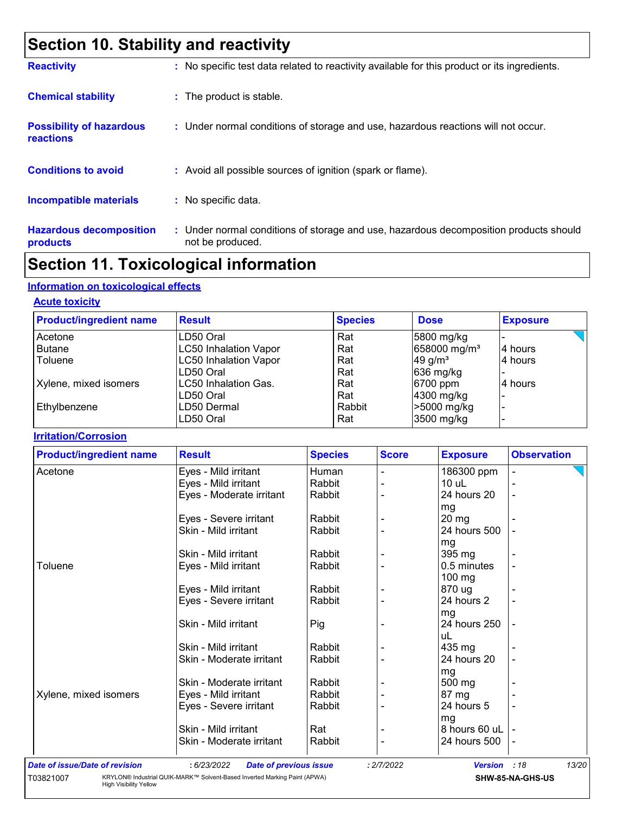# **Section 10. Stability and reactivity**

| <b>Reactivity</b>                            | : No specific test data related to reactivity available for this product or its ingredients.              |
|----------------------------------------------|-----------------------------------------------------------------------------------------------------------|
| <b>Chemical stability</b>                    | : The product is stable.                                                                                  |
| <b>Possibility of hazardous</b><br>reactions | : Under normal conditions of storage and use, hazardous reactions will not occur.                         |
| <b>Conditions to avoid</b>                   | : Avoid all possible sources of ignition (spark or flame).                                                |
| Incompatible materials                       | : No specific data.                                                                                       |
| <b>Hazardous decomposition</b><br>products   | : Under normal conditions of storage and use, hazardous decomposition products should<br>not be produced. |

# **Section 11. Toxicological information**

#### **Information on toxicological effects**

High Visibility Yellow

#### **Acute toxicity**

| <b>Product/ingredient name</b> | <b>Result</b>                | <b>Species</b> | <b>Dose</b>              | <b>Exposure</b> |
|--------------------------------|------------------------------|----------------|--------------------------|-----------------|
| Acetone                        | LD50 Oral                    | Rat            | 5800 mg/kg               |                 |
| <b>Butane</b>                  | <b>LC50 Inhalation Vapor</b> | Rat            | 658000 mg/m <sup>3</sup> | 4 hours         |
| Toluene                        | <b>LC50 Inhalation Vapor</b> | Rat            | 49 g/ $m3$               | 4 hours         |
|                                | LD50 Oral                    | Rat            | 636 mg/kg                |                 |
| Xylene, mixed isomers          | LC50 Inhalation Gas.         | Rat            | 6700 ppm                 | 4 hours         |
|                                | ILD50 Oral                   | Rat            | 4300 mg/kg               |                 |
| Ethylbenzene                   | LD50 Dermal                  | Rabbit         | >5000 mg/kg              |                 |
|                                | LD50 Oral                    | Rat            | 3500 mg/kg               |                 |

#### **Irritation/Corrosion**

| <b>Product/ingredient name</b>        | <b>Result</b>                                                             | <b>Species</b> | <b>Score</b> | <b>Exposure</b> | <b>Observation</b> |
|---------------------------------------|---------------------------------------------------------------------------|----------------|--------------|-----------------|--------------------|
| Acetone                               | Eyes - Mild irritant                                                      | Human          |              | 186300 ppm      |                    |
|                                       | Eyes - Mild irritant                                                      | Rabbit         |              | $10$ uL         |                    |
|                                       | Eyes - Moderate irritant                                                  | Rabbit         |              | 24 hours 20     |                    |
|                                       |                                                                           |                |              | mg              |                    |
|                                       | Eyes - Severe irritant                                                    | Rabbit         |              | $20 \, mg$      |                    |
|                                       | Skin - Mild irritant                                                      | Rabbit         |              | 24 hours 500    |                    |
|                                       |                                                                           |                |              | mg              |                    |
|                                       | Skin - Mild irritant                                                      | Rabbit         |              | 395 mg          |                    |
| Toluene                               | Eyes - Mild irritant                                                      | Rabbit         |              | 0.5 minutes     |                    |
|                                       |                                                                           |                |              | 100 mg          |                    |
|                                       | Eyes - Mild irritant                                                      | Rabbit         |              | 870 ug          |                    |
|                                       | Eyes - Severe irritant                                                    | Rabbit         |              | 24 hours 2      |                    |
|                                       |                                                                           |                |              | mg              |                    |
|                                       | Skin - Mild irritant                                                      | Pig            |              | 24 hours 250    |                    |
|                                       |                                                                           |                |              | uL              |                    |
|                                       | Skin - Mild irritant                                                      | Rabbit         |              | 435 mg          |                    |
|                                       | Skin - Moderate irritant                                                  | Rabbit         |              | 24 hours 20     |                    |
|                                       |                                                                           |                |              | mg              |                    |
|                                       | Skin - Moderate irritant                                                  | Rabbit         |              | 500 mg          |                    |
| Xylene, mixed isomers                 | Eyes - Mild irritant                                                      | Rabbit         |              | 87 mg           |                    |
|                                       | Eyes - Severe irritant                                                    | Rabbit         |              | 24 hours 5      |                    |
|                                       |                                                                           |                |              | mg              |                    |
|                                       | Skin - Mild irritant                                                      | Rat            |              | 8 hours 60 uL   |                    |
|                                       | Skin - Moderate irritant                                                  | Rabbit         |              | 24 hours 500    |                    |
| <b>Date of issue/Date of revision</b> | : 6/23/2022<br><b>Date of previous issue</b>                              |                | : 2/7/2022   | <b>Version</b>  | 13/20<br>:18       |
| T03821007                             | KRYLON® Industrial QUIK-MARK™ Solvent-Based Inverted Marking Paint (APWA) |                |              |                 | SHW-85-NA-GHS-US   |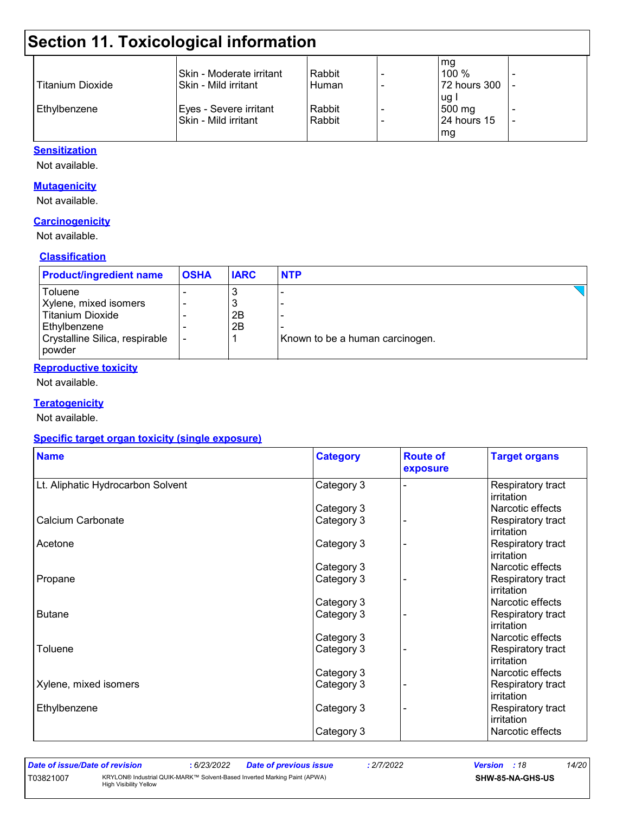# **Section 11. Toxicological information**

|                         |                           |        | mg           |  |
|-------------------------|---------------------------|--------|--------------|--|
|                         | ISkin - Moderate irritant | Rabbit | $100\%$      |  |
| <b>Titanium Dioxide</b> | ISkin - Mild irritant     | Human  | 72 hours 300 |  |
|                         |                           |        | ug           |  |
| Ethylbenzene            | Eyes - Severe irritant    | Rabbit | 500 mg       |  |
|                         | Skin - Mild irritant      | Rabbit | 124 hours 15 |  |
|                         |                           |        | mg           |  |
|                         |                           |        |              |  |

#### **Sensitization**

Not available.

#### **Mutagenicity**

Not available.

#### **Carcinogenicity**

Not available.

#### **Classification**

| <b>Product/ingredient name</b> | <b>OSHA</b> | <b>IARC</b> | <b>NTP</b>                      |
|--------------------------------|-------------|-------------|---------------------------------|
| Toluene                        |             | J.          |                                 |
| Xylene, mixed isomers          |             | 3           |                                 |
| <b>Titanium Dioxide</b>        |             | 2B          |                                 |
| Ethylbenzene                   |             | 2B          |                                 |
| Crystalline Silica, respirable |             |             | Known to be a human carcinogen. |
| l powder                       |             |             |                                 |

#### **Reproductive toxicity**

Not available.

#### **Teratogenicity**

Not available.

#### **Specific target organ toxicity (single exposure)**

| <b>Name</b>                       | <b>Category</b> | <b>Route of</b><br>exposure | <b>Target organs</b>            |
|-----------------------------------|-----------------|-----------------------------|---------------------------------|
| Lt. Aliphatic Hydrocarbon Solvent | Category 3      |                             | Respiratory tract<br>irritation |
|                                   | Category 3      |                             | Narcotic effects                |
| Calcium Carbonate                 | Category 3      |                             | Respiratory tract<br>irritation |
| Acetone                           | Category 3      |                             | Respiratory tract<br>irritation |
|                                   | Category 3      |                             | Narcotic effects                |
| Propane                           | Category 3      |                             | Respiratory tract<br>irritation |
|                                   | Category 3      |                             | Narcotic effects                |
| Butane                            | Category 3      |                             | Respiratory tract<br>irritation |
|                                   | Category 3      |                             | Narcotic effects                |
| Toluene                           | Category 3      |                             | Respiratory tract<br>irritation |
|                                   | Category 3      |                             | Narcotic effects                |
| Xylene, mixed isomers             | Category 3      |                             | Respiratory tract<br>irritation |
| Ethylbenzene                      | Category 3      |                             | Respiratory tract<br>irritation |
|                                   | Category 3      |                             | Narcotic effects                |

T03821007 KRYLON® Industrial QUIK-MARK™ Solvent-Based Inverted Marking Paint (APWA)

High Visibility Yellow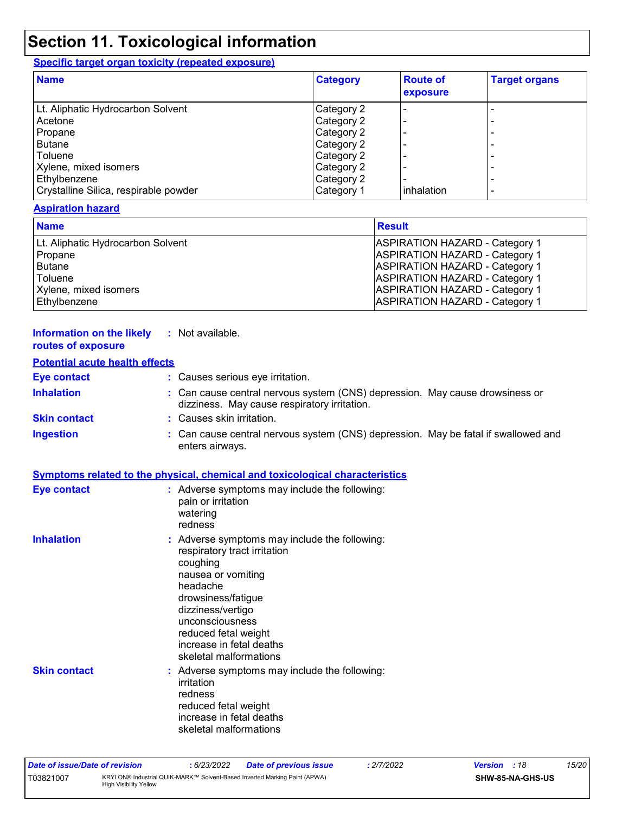### **Section 11. Toxicological information**

#### **Specific target organ toxicity (repeated exposure)**

| <b>Name</b>                           | <b>Category</b> | <b>Route of</b><br>exposure | <b>Target organs</b> |
|---------------------------------------|-----------------|-----------------------------|----------------------|
| Lt. Aliphatic Hydrocarbon Solvent     | Category 2      |                             |                      |
| Acetone                               | Category 2      |                             | -                    |
| Propane                               | Category 2      |                             |                      |
| <b>Butane</b>                         | Category 2      |                             |                      |
| Toluene                               | Category 2      |                             | -                    |
| Xylene, mixed isomers                 | Category 2      |                             |                      |
| Ethylbenzene                          | Category 2      |                             | ۰                    |
| Crystalline Silica, respirable powder | Category 1      | inhalation                  | ۰                    |

#### **Aspiration hazard**

| <b>Name</b>                       | <b>Result</b>                         |
|-----------------------------------|---------------------------------------|
| Lt. Aliphatic Hydrocarbon Solvent | <b>ASPIRATION HAZARD - Category 1</b> |
| Propane                           | <b>ASPIRATION HAZARD - Category 1</b> |
| Butane                            | <b>ASPIRATION HAZARD - Category 1</b> |
| Toluene                           | <b>ASPIRATION HAZARD - Category 1</b> |
| Xylene, mixed isomers             | <b>ASPIRATION HAZARD - Category 1</b> |
| Ethylbenzene                      | <b>ASPIRATION HAZARD - Category 1</b> |

#### **Information on the likely :** Not available. **routes of exposure**

#### **Potential acute health effects**

| <u>. Storious would nominal sinops</u> |                                                                                                                              |
|----------------------------------------|------------------------------------------------------------------------------------------------------------------------------|
| <b>Eye contact</b>                     | : Causes serious eye irritation.                                                                                             |
| <b>Inhalation</b>                      | : Can cause central nervous system (CNS) depression. May cause drowsiness or<br>dizziness. May cause respiratory irritation. |
| <b>Skin contact</b>                    | : Causes skin irritation.                                                                                                    |
| <b>Ingestion</b>                       | : Can cause central nervous system (CNS) depression. May be fatal if swallowed and<br>enters airways.                        |

#### **Symptoms related to the physical, chemical and toxicological characteristics**

| <b>Eye contact</b>  | : Adverse symptoms may include the following:<br>pain or irritation<br>watering<br>redness                                                                                                                                                                              |
|---------------------|-------------------------------------------------------------------------------------------------------------------------------------------------------------------------------------------------------------------------------------------------------------------------|
| <b>Inhalation</b>   | : Adverse symptoms may include the following:<br>respiratory tract irritation<br>coughing<br>nausea or vomiting<br>headache<br>drowsiness/fatigue<br>dizziness/vertigo<br>unconsciousness<br>reduced fetal weight<br>increase in fetal deaths<br>skeletal malformations |
| <b>Skin contact</b> | : Adverse symptoms may include the following:<br>irritation<br>redness<br>reduced fetal weight<br>increase in fetal deaths<br>skeletal malformations                                                                                                                    |

| Date of issue/Date of revision |                               | 6/23/2022 | Date of previous issue                                                    | : 2/7/2022 | <b>Version</b> : 18 |                  | 15/20 |
|--------------------------------|-------------------------------|-----------|---------------------------------------------------------------------------|------------|---------------------|------------------|-------|
| T03821007                      | <b>High Visibility Yellow</b> |           | KRYLON® Industrial QUIK-MARK™ Solvent-Based Inverted Marking Paint (APWA) |            |                     | SHW-85-NA-GHS-US |       |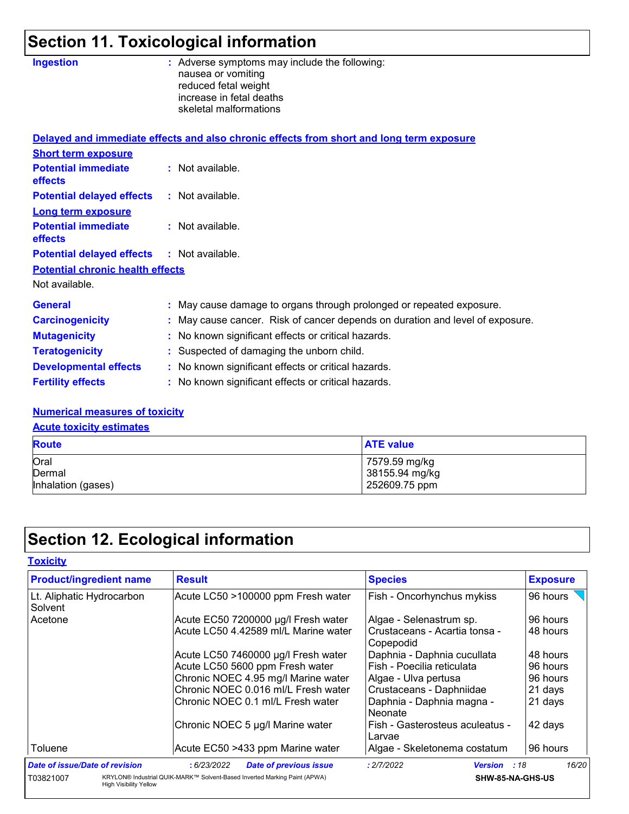# **Section 11. Toxicological information**

| <b>Ingestion</b>                                  | : Adverse symptoms may include the following:<br>nausea or vomiting<br>reduced fetal weight<br>increase in fetal deaths<br>skeletal malformations |
|---------------------------------------------------|---------------------------------------------------------------------------------------------------------------------------------------------------|
|                                                   | Delayed and immediate effects and also chronic effects from short and long term exposure                                                          |
| <b>Short term exposure</b>                        |                                                                                                                                                   |
| <b>Potential immediate</b><br>effects             | : Not available.                                                                                                                                  |
| <b>Potential delayed effects</b>                  | : Not available.                                                                                                                                  |
| <b>Long term exposure</b>                         |                                                                                                                                                   |
| <b>Potential immediate</b><br><b>effects</b>      | $:$ Not available.                                                                                                                                |
| <b>Potential delayed effects : Not available.</b> |                                                                                                                                                   |
| <b>Potential chronic health effects</b>           |                                                                                                                                                   |
| Not available.                                    |                                                                                                                                                   |
| <b>General</b>                                    | : May cause damage to organs through prolonged or repeated exposure.                                                                              |
| <b>Carcinogenicity</b>                            | May cause cancer. Risk of cancer depends on duration and level of exposure.                                                                       |
| <b>Mutagenicity</b>                               | No known significant effects or critical hazards.                                                                                                 |
| <b>Teratogenicity</b>                             | Suspected of damaging the unborn child.                                                                                                           |
| <b>Developmental effects</b>                      | : No known significant effects or critical hazards.                                                                                               |
| <b>Fertility effects</b>                          | : No known significant effects or critical hazards.                                                                                               |
|                                                   |                                                                                                                                                   |

#### **Numerical measures of toxicity**

**Acute toxicity estimates**

| <b>Route</b>       | <b>ATE value</b> |
|--------------------|------------------|
| Oral               | 7579.59 mg/kg    |
| Dermal             | 38155.94 mg/kg   |
| Inhalation (gases) | 252609.75 ppm    |

# **Section 12. Ecological information**

| Toxicitv |  |
|----------|--|
|          |  |

| <b>Product/ingredient name</b>             | <b>Result</b>                                                             | <b>Species</b>                             | <b>Exposure</b> |
|--------------------------------------------|---------------------------------------------------------------------------|--------------------------------------------|-----------------|
| Lt. Aliphatic Hydrocarbon<br>Solvent       | Acute LC50 >100000 ppm Fresh water                                        | Fish - Oncorhynchus mykiss                 | 96 hours        |
| Acetone                                    | Acute EC50 7200000 µg/l Fresh water                                       | Algae - Selenastrum sp.                    | 96 hours        |
|                                            | Acute LC50 4.42589 ml/L Marine water                                      | Crustaceans - Acartia tonsa -<br>Copepodid | 48 hours        |
|                                            | Acute LC50 7460000 µg/l Fresh water                                       | Daphnia - Daphnia cucullata                | 48 hours        |
|                                            | Acute LC50 5600 ppm Fresh water                                           | Fish - Poecilia reticulata                 | 96 hours        |
|                                            | Chronic NOEC 4.95 mg/l Marine water                                       | Algae - Ulva pertusa                       | 96 hours        |
|                                            | Chronic NOEC 0.016 ml/L Fresh water                                       | Crustaceans - Daphniidae                   | 21 days         |
|                                            | Chronic NOEC 0.1 ml/L Fresh water                                         | Daphnia - Daphnia magna -<br>Neonate       | 21 days         |
|                                            | Chronic NOEC 5 µg/l Marine water                                          | Fish - Gasterosteus aculeatus -<br>Larvae  | 42 days         |
| Toluene                                    | Acute EC50 >433 ppm Marine water                                          | Algae - Skeletonema costatum               | 96 hours        |
| Date of issue/Date of revision             | : 6/23/2022<br><b>Date of previous issue</b>                              | : 2/7/2022<br><b>Version</b><br>:18        | 16/20           |
| T03821007<br><b>High Visibility Yellow</b> | KRYLON® Industrial QUIK-MARK™ Solvent-Based Inverted Marking Paint (APWA) | SHW-85-NA-GHS-US                           |                 |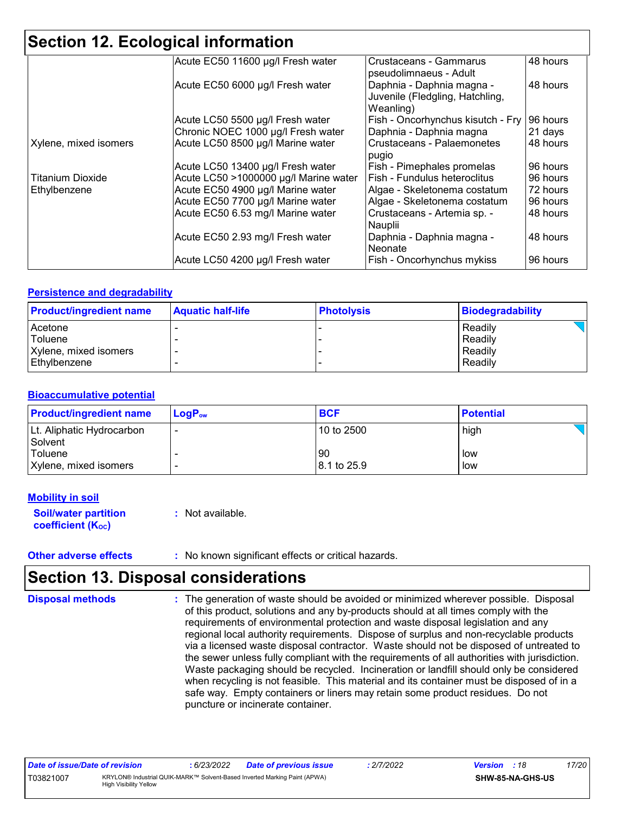| <b>Section 12. Ecological information</b> |                                       |                                                                           |          |  |  |
|-------------------------------------------|---------------------------------------|---------------------------------------------------------------------------|----------|--|--|
|                                           | Acute EC50 11600 µg/l Fresh water     | Crustaceans - Gammarus<br>pseudolimnaeus - Adult                          | 48 hours |  |  |
|                                           | Acute EC50 6000 µg/l Fresh water      | Daphnia - Daphnia magna -<br>Juvenile (Fledgling, Hatchling,<br>Weanling) | 48 hours |  |  |
|                                           | Acute LC50 5500 µg/l Fresh water      | Fish - Oncorhynchus kisutch - Fry                                         | 96 hours |  |  |
|                                           | Chronic NOEC 1000 µg/l Fresh water    | Daphnia - Daphnia magna                                                   | 21 days  |  |  |
| Xylene, mixed isomers                     | Acute LC50 8500 µg/l Marine water     | Crustaceans - Palaemonetes<br>pugio                                       | 48 hours |  |  |
|                                           | Acute LC50 13400 µg/l Fresh water     | Fish - Pimephales promelas                                                | 96 hours |  |  |
| <b>Titanium Dioxide</b>                   | Acute LC50 >1000000 µg/l Marine water | Fish - Fundulus heteroclitus                                              | 96 hours |  |  |
| Ethylbenzene                              | Acute EC50 4900 µg/l Marine water     | Algae - Skeletonema costatum                                              | 72 hours |  |  |
|                                           | Acute EC50 7700 µg/l Marine water     | Algae - Skeletonema costatum                                              | 96 hours |  |  |
|                                           | Acute EC50 6.53 mg/l Marine water     | Crustaceans - Artemia sp. -<br>Nauplii                                    | 48 hours |  |  |
|                                           | Acute EC50 2.93 mg/l Fresh water      | Daphnia - Daphnia magna -<br>Neonate                                      | 48 hours |  |  |
|                                           | Acute LC50 4200 µg/l Fresh water      | Fish - Oncorhynchus mykiss                                                | 96 hours |  |  |

#### **Persistence and degradability**

| <b>Product/ingredient name</b> | <b>Aquatic half-life</b> | <b>Photolysis</b> | Biodegradability |
|--------------------------------|--------------------------|-------------------|------------------|
| Acetone                        |                          |                   | Readily          |
| Toluene                        |                          |                   | Readily          |
| Xylene, mixed isomers          |                          |                   | Readily          |
| Ethylbenzene                   |                          |                   | Readily          |

#### **Bioaccumulative potential**

| <b>Product/ingredient name</b>       | $LogP_{ow}$ | <b>BCF</b>         | <b>Potential</b> |
|--------------------------------------|-------------|--------------------|------------------|
| Lt. Aliphatic Hydrocarbon<br>Solvent | -           | 10 to 2500         | high             |
| Toluene<br>Xylene, mixed isomers     |             | 90<br>18.1 to 25.9 | low<br>low       |

#### **Mobility in soil**

| <b>Soil/water partition</b> | : Not available. |
|-----------------------------|------------------|
| <b>coefficient (Koc)</b>    |                  |

**Other adverse effects** : No known significant effects or critical hazards.

### **Section 13. Disposal considerations**

The generation of waste should be avoided or minimized wherever possible. Disposal of this product, solutions and any by-products should at all times comply with the requirements of environmental protection and waste disposal legislation and any regional local authority requirements. Dispose of surplus and non-recyclable products via a licensed waste disposal contractor. Waste should not be disposed of untreated to the sewer unless fully compliant with the requirements of all authorities with jurisdiction. Waste packaging should be recycled. Incineration or landfill should only be considered when recycling is not feasible. This material and its container must be disposed of in a safe way. Empty containers or liners may retain some product residues. Do not puncture or incinerate container. **Disposal methods :**

| Date of issue/Date of revision |                                                                                                            | 6/23/2022 | <b>Date of previous issue</b> | : 2/7/2022 | <b>Version</b> : 18 |                         | 17/20 |
|--------------------------------|------------------------------------------------------------------------------------------------------------|-----------|-------------------------------|------------|---------------------|-------------------------|-------|
| T03821007                      | KRYLON® Industrial QUIK-MARK™ Solvent-Based Inverted Marking Paint (APWA)<br><b>High Visibility Yellow</b> |           |                               |            |                     | <b>SHW-85-NA-GHS-US</b> |       |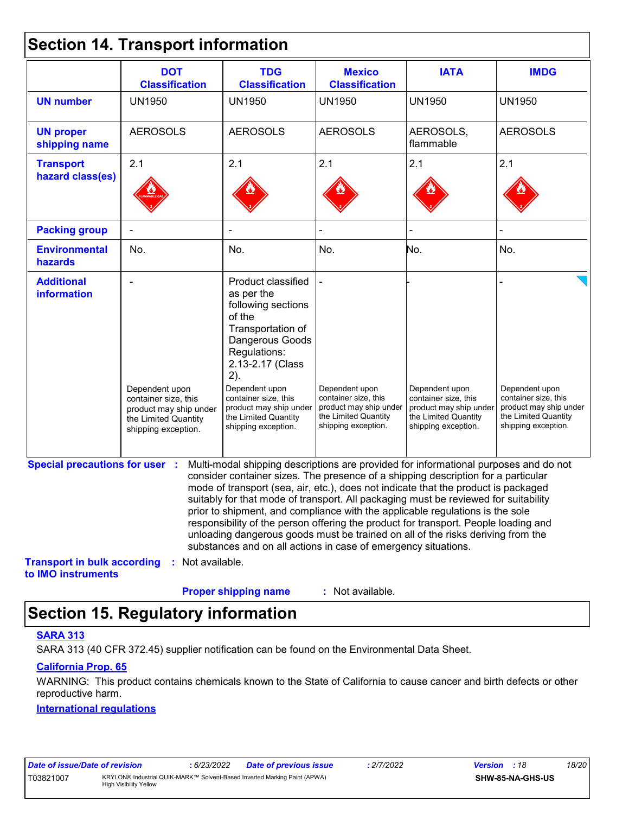### **Section 14. Transport information**

|                                                          | <b>DOT</b><br><b>Classification</b>                                                                             | <b>TDG</b><br><b>Classification</b>                                                                                                                                                                                                                                                                                                                                                                                                                                                                                                                                                                                                                                                 | <b>Mexico</b><br><b>Classification</b>                                                                          | <b>IATA</b>                                                                                                     | <b>IMDG</b>                                                                                                     |
|----------------------------------------------------------|-----------------------------------------------------------------------------------------------------------------|-------------------------------------------------------------------------------------------------------------------------------------------------------------------------------------------------------------------------------------------------------------------------------------------------------------------------------------------------------------------------------------------------------------------------------------------------------------------------------------------------------------------------------------------------------------------------------------------------------------------------------------------------------------------------------------|-----------------------------------------------------------------------------------------------------------------|-----------------------------------------------------------------------------------------------------------------|-----------------------------------------------------------------------------------------------------------------|
| <b>UN number</b>                                         | <b>UN1950</b>                                                                                                   | <b>UN1950</b>                                                                                                                                                                                                                                                                                                                                                                                                                                                                                                                                                                                                                                                                       | <b>UN1950</b>                                                                                                   | <b>UN1950</b>                                                                                                   | <b>UN1950</b>                                                                                                   |
| <b>UN proper</b><br>shipping name                        | <b>AEROSOLS</b>                                                                                                 | <b>AEROSOLS</b>                                                                                                                                                                                                                                                                                                                                                                                                                                                                                                                                                                                                                                                                     | <b>AEROSOLS</b>                                                                                                 | AEROSOLS,<br>flammable                                                                                          | <b>AEROSOLS</b>                                                                                                 |
| <b>Transport</b>                                         | 2.1                                                                                                             | 2.1                                                                                                                                                                                                                                                                                                                                                                                                                                                                                                                                                                                                                                                                                 | 2.1                                                                                                             | 2.1                                                                                                             | 2.1                                                                                                             |
| hazard class(es)                                         |                                                                                                                 |                                                                                                                                                                                                                                                                                                                                                                                                                                                                                                                                                                                                                                                                                     |                                                                                                                 |                                                                                                                 |                                                                                                                 |
| <b>Packing group</b>                                     |                                                                                                                 |                                                                                                                                                                                                                                                                                                                                                                                                                                                                                                                                                                                                                                                                                     |                                                                                                                 |                                                                                                                 |                                                                                                                 |
| <b>Environmental</b><br>hazards                          | No.                                                                                                             | No.                                                                                                                                                                                                                                                                                                                                                                                                                                                                                                                                                                                                                                                                                 | No.                                                                                                             | No.                                                                                                             | No.                                                                                                             |
| <b>Additional</b><br>information                         | Dependent upon<br>container size, this<br>product may ship under<br>the Limited Quantity<br>shipping exception. | Product classified<br>as per the<br>following sections<br>of the<br>Transportation of<br>Dangerous Goods<br>Regulations:<br>2.13-2.17 (Class<br>2).<br>Dependent upon<br>container size, this<br>product may ship under<br>the Limited Quantity<br>shipping exception.                                                                                                                                                                                                                                                                                                                                                                                                              | Dependent upon<br>container size, this<br>product may ship under<br>the Limited Quantity<br>shipping exception. | Dependent upon<br>container size, this<br>product may ship under<br>the Limited Quantity<br>shipping exception. | Dependent upon<br>container size, this<br>product may ship under<br>the Limited Quantity<br>shipping exception. |
| <b>Special precautions for user :</b>                    |                                                                                                                 | Multi-modal shipping descriptions are provided for informational purposes and do not<br>consider container sizes. The presence of a shipping description for a particular<br>mode of transport (sea, air, etc.), does not indicate that the product is packaged<br>suitably for that mode of transport. All packaging must be reviewed for suitability<br>prior to shipment, and compliance with the applicable regulations is the sole<br>responsibility of the person offering the product for transport. People loading and<br>unloading dangerous goods must be trained on all of the risks deriving from the<br>substances and on all actions in case of emergency situations. |                                                                                                                 |                                                                                                                 |                                                                                                                 |
| <b>Transport in bulk according</b><br>to IMO instruments | : Not available.                                                                                                |                                                                                                                                                                                                                                                                                                                                                                                                                                                                                                                                                                                                                                                                                     |                                                                                                                 |                                                                                                                 |                                                                                                                 |
|                                                          |                                                                                                                 | <b>Proper shipping name</b>                                                                                                                                                                                                                                                                                                                                                                                                                                                                                                                                                                                                                                                         | : Not available.                                                                                                |                                                                                                                 |                                                                                                                 |

# **Section 15. Regulatory information**

#### **SARA 313**

SARA 313 (40 CFR 372.45) supplier notification can be found on the Environmental Data Sheet.

#### **California Prop. 65**

WARNING: This product contains chemicals known to the State of California to cause cancer and birth defects or other reproductive harm.

#### **International regulations**

| Date of issue/Date of revision |                                                                                                            | 6/23/2022 | <b>Date of previous issue</b> | : 2/7/2022 | <b>Version</b> : 18 |                         | 18/20 |
|--------------------------------|------------------------------------------------------------------------------------------------------------|-----------|-------------------------------|------------|---------------------|-------------------------|-------|
| T03821007                      | KRYLON® Industrial QUIK-MARK™ Solvent-Based Inverted Marking Paint (APWA)<br><b>High Visibility Yellow</b> |           |                               |            |                     | <b>SHW-85-NA-GHS-US</b> |       |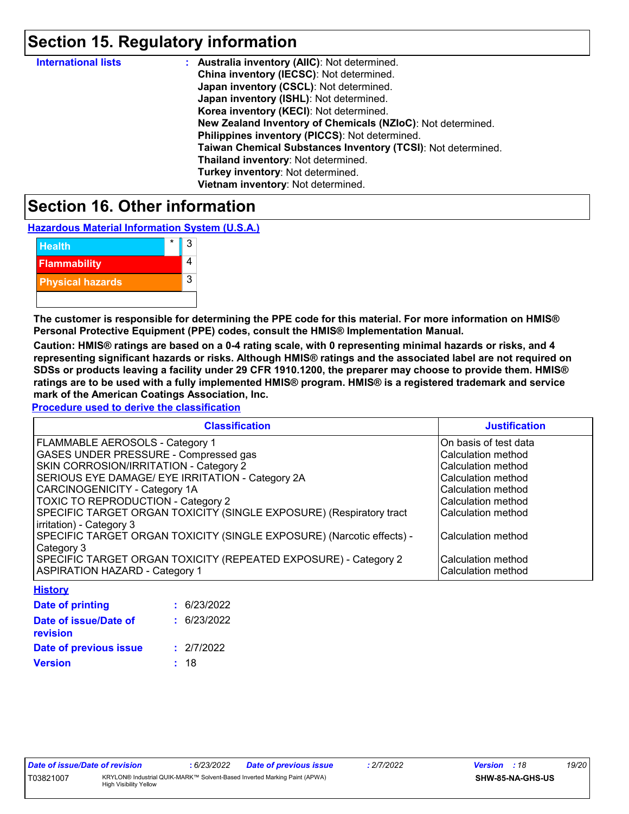### **Section 15. Regulatory information**

| <b>International lists</b> | : Australia inventory (AIIC): Not determined.                |
|----------------------------|--------------------------------------------------------------|
|                            | China inventory (IECSC): Not determined.                     |
|                            | Japan inventory (CSCL): Not determined.                      |
|                            | Japan inventory (ISHL): Not determined.                      |
|                            | Korea inventory (KECI): Not determined.                      |
|                            | New Zealand Inventory of Chemicals (NZIoC): Not determined.  |
|                            | Philippines inventory (PICCS): Not determined.               |
|                            | Taiwan Chemical Substances Inventory (TCSI): Not determined. |
|                            | Thailand inventory: Not determined.                          |
|                            | Turkey inventory: Not determined.                            |
|                            | Vietnam inventory: Not determined.                           |

### **Section 16. Other information**

**Hazardous Material Information System (U.S.A.)**

| <b>Health</b>           | 3 |
|-------------------------|---|
| <b>Flammability</b>     |   |
| <b>Physical hazards</b> | 3 |
|                         |   |

**The customer is responsible for determining the PPE code for this material. For more information on HMIS® Personal Protective Equipment (PPE) codes, consult the HMIS® Implementation Manual.**

**Caution: HMIS® ratings are based on a 0-4 rating scale, with 0 representing minimal hazards or risks, and 4 representing significant hazards or risks. Although HMIS® ratings and the associated label are not required on SDSs or products leaving a facility under 29 CFR 1910.1200, the preparer may choose to provide them. HMIS® ratings are to be used with a fully implemented HMIS® program. HMIS® is a registered trademark and service mark of the American Coatings Association, Inc.**

**Procedure used to derive the classification**

| <b>Classification</b>                                                 | <b>Justification</b>  |
|-----------------------------------------------------------------------|-----------------------|
| FLAMMABLE AEROSOLS - Category 1                                       | On basis of test data |
| GASES UNDER PRESSURE - Compressed gas                                 | Calculation method    |
| SKIN CORROSION/IRRITATION - Category 2                                | Calculation method    |
| SERIOUS EYE DAMAGE/ EYE IRRITATION - Category 2A                      | Calculation method    |
| <b>CARCINOGENICITY - Category 1A</b>                                  | Calculation method    |
| TOXIC TO REPRODUCTION - Category 2                                    | Calculation method    |
| SPECIFIC TARGET ORGAN TOXICITY (SINGLE EXPOSURE) (Respiratory tract   | Calculation method    |
| irritation) - Category 3                                              |                       |
| SPECIFIC TARGET ORGAN TOXICITY (SINGLE EXPOSURE) (Narcotic effects) - | Calculation method    |
| Category 3                                                            |                       |
| SPECIFIC TARGET ORGAN TOXICITY (REPEATED EXPOSURE) - Category 2       | Calculation method    |
| <b>ASPIRATION HAZARD - Category 1</b>                                 | Calculation method    |

| : 6/23/2022 |
|-------------|
| : 6/23/2022 |
| : 2/7/2022  |
| : 18        |
|             |

| Date of issue/Date of revision |                         |
|--------------------------------|-------------------------|
| T03821007                      | <b>KRYLON®</b> Industri |

**History**